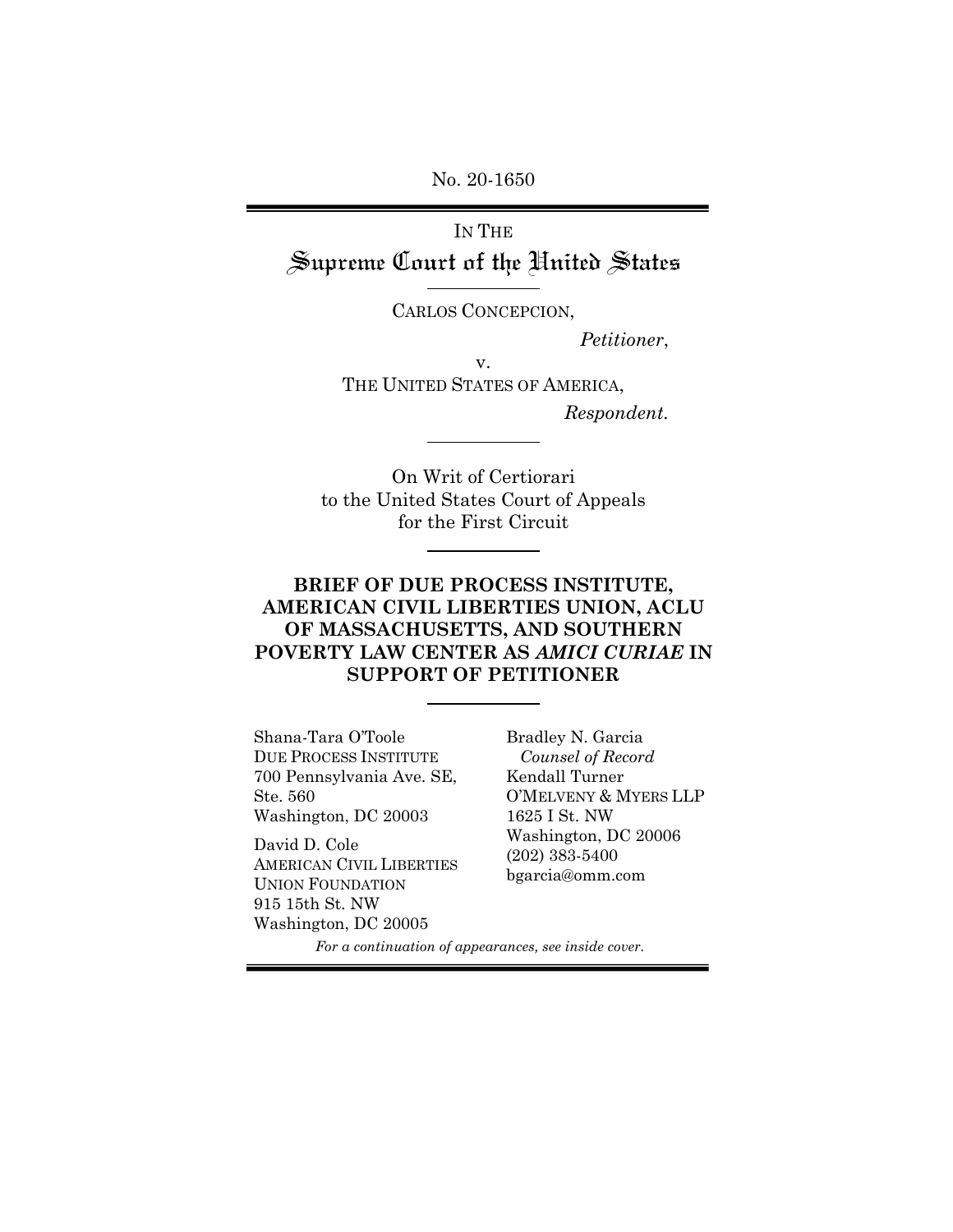No. 20-1650

IN THE Supreme Court of the United States

CARLOS CONCEPCION,

 *Petitioner*,

v. THE UNITED STATES OF AMERICA,

*Respondent.* 

On Writ of Certiorari to the United States Court of Appeals for the First Circuit

## **BRIEF OF DUE PROCESS INSTITUTE, AMERICAN CIVIL LIBERTIES UNION, ACLU OF MASSACHUSETTS, AND SOUTHERN POVERTY LAW CENTER AS** *AMICI CURIAE* **IN SUPPORT OF PETITIONER**

Shana-Tara O'Toole DUE PROCESS INSTITUTE 700 Pennsylvania Ave. SE, Ste. 560 Washington, DC 20003

David D. Cole AMERICAN CIVIL LIBERTIES UNION FOUNDATION 915 15th St. NW Washington, DC 20005

Bradley N. Garcia *Counsel of Record*  Kendall Turner O'MELVENY & MYERS LLP 1625 I St. NW Washington, DC 20006 (202) 383-5400 bgarcia@omm.com

*For a continuation of appearances, see inside cover.*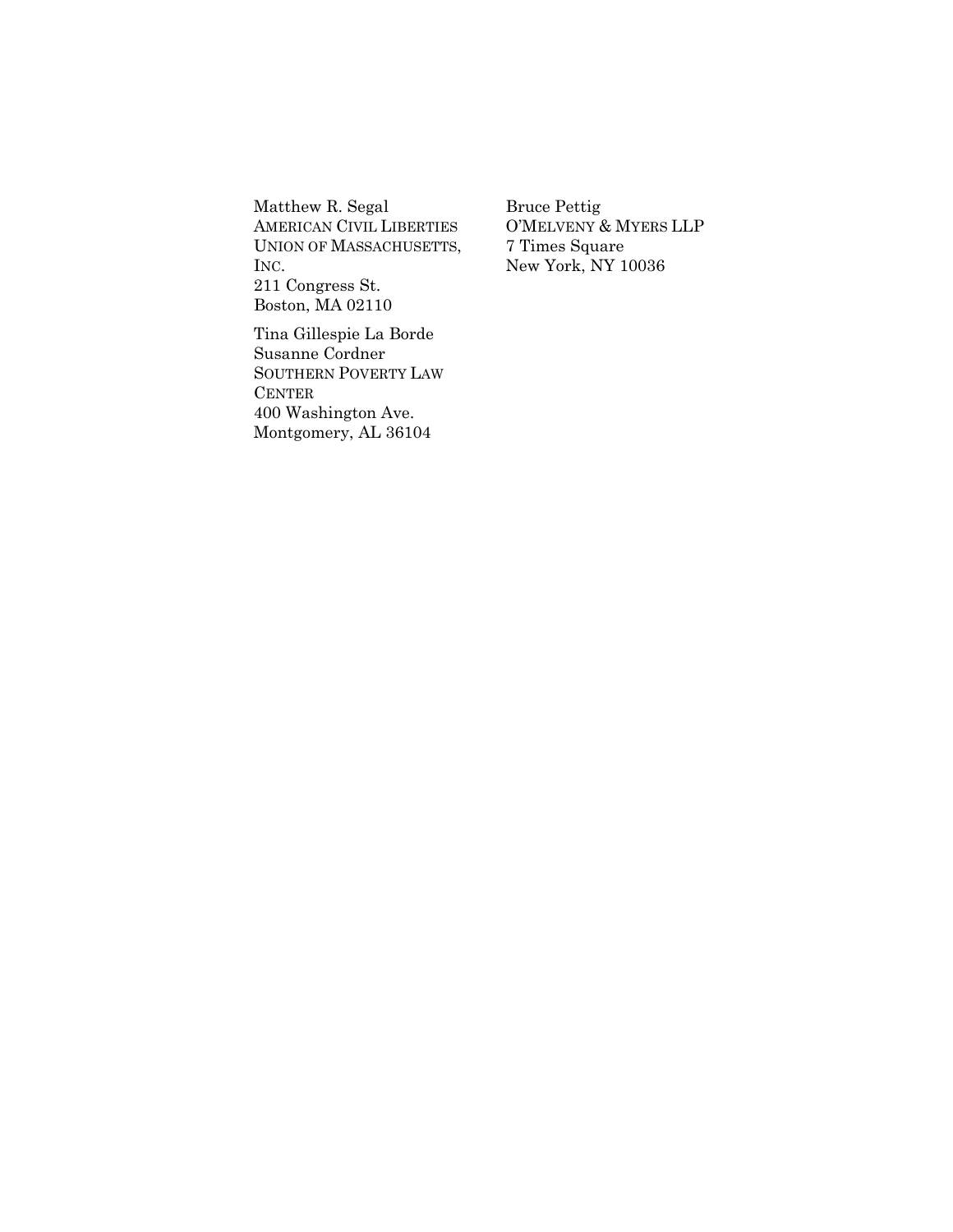Matthew R. Segal AMERICAN CIVIL LIBERTIES UNION OF MASSACHUSETTS, INC. 211 Congress St. Boston, MA 02110

Tina Gillespie La Borde Susanne Cordner SOUTHERN POVERTY LAW CENTER 400 Washington Ave. Montgomery, AL 36104

Bruce Pettig O'MELVENY & MYERS LLP 7 Times Square New York, NY 10036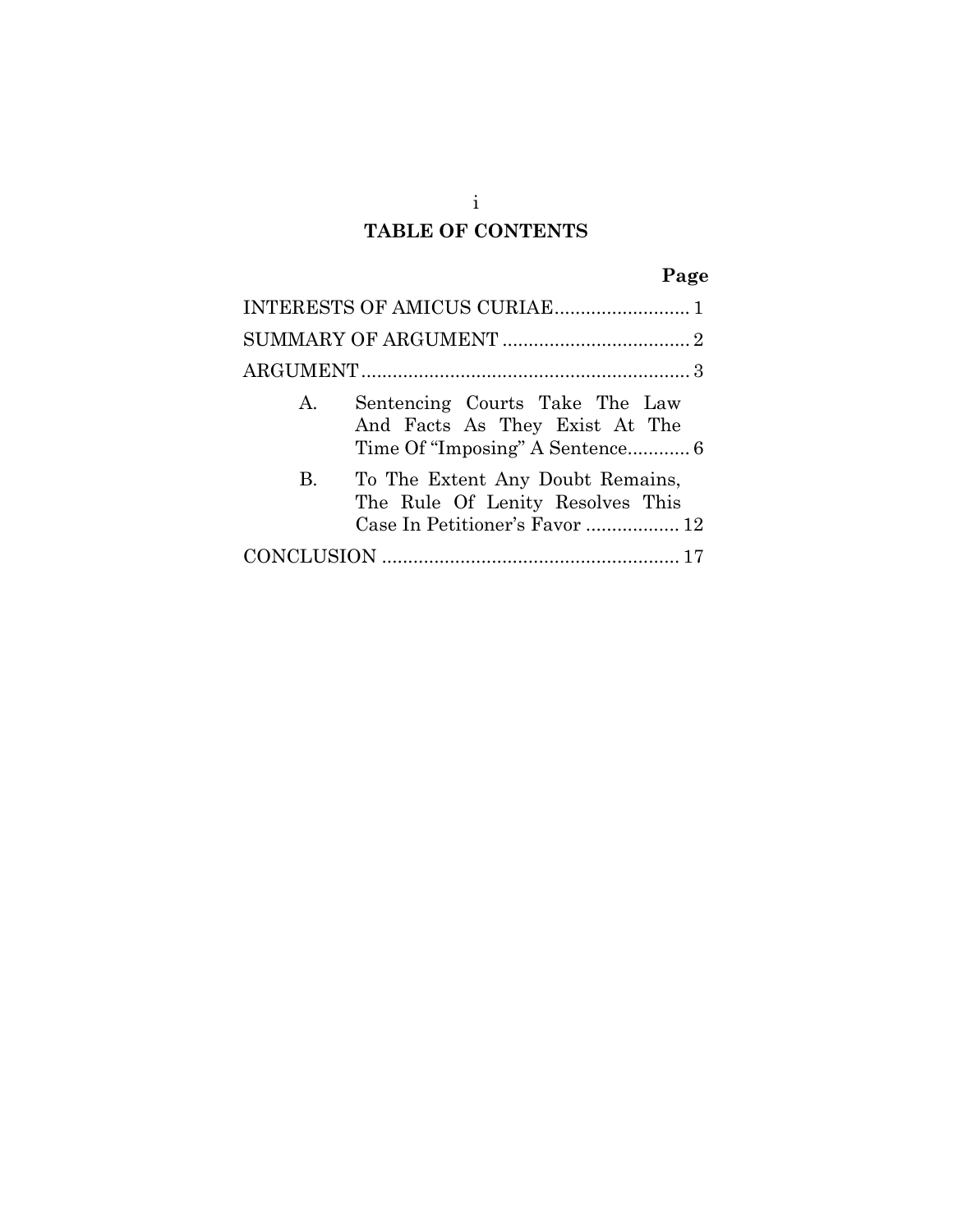# **TABLE OF CONTENTS**

|           | INTERESTS OF AMICUS CURIAE 1                                                                           |  |
|-----------|--------------------------------------------------------------------------------------------------------|--|
|           |                                                                                                        |  |
|           |                                                                                                        |  |
| A.        | Sentencing Courts Take The Law<br>And Facts As They Exist At The                                       |  |
| <b>B.</b> | To The Extent Any Doubt Remains,<br>The Rule Of Lenity Resolves This<br>Case In Petitioner's Favor  12 |  |
|           |                                                                                                        |  |

i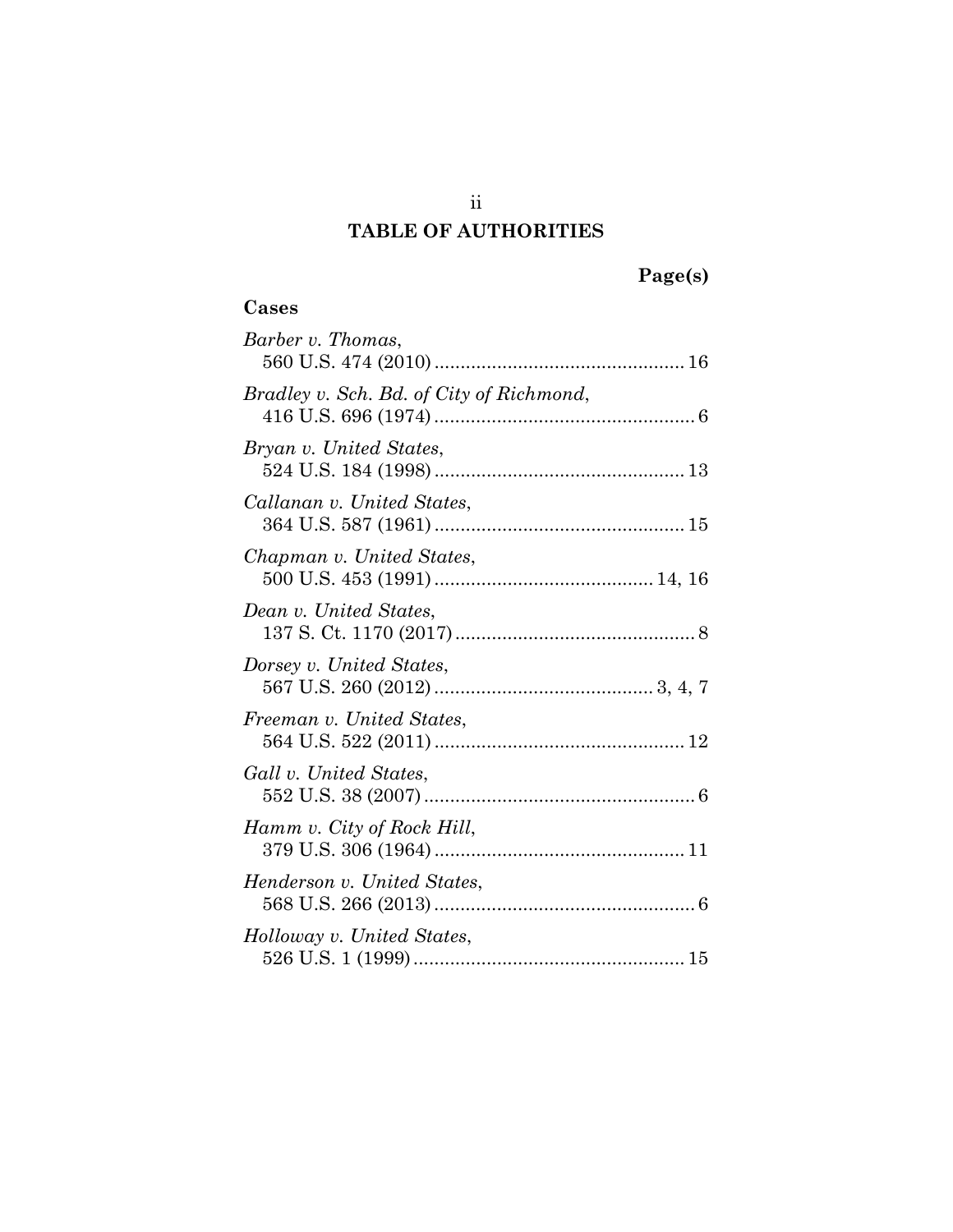## **TABLE OF AUTHORITIES**

## **Cases**

| Barber v. Thomas,                        |
|------------------------------------------|
| Bradley v. Sch. Bd. of City of Richmond, |
| Bryan v. United States,                  |
| Callanan v. United States,               |
| Chapman v. United States,                |
| Dean v. United States,                   |
| Dorsey v. United States,                 |
| Freeman v. United States,                |
| Gall v. United States,                   |
| Hamm v. City of Rock Hill,               |
| Henderson v. United States,              |
| Holloway v. United States,               |

ii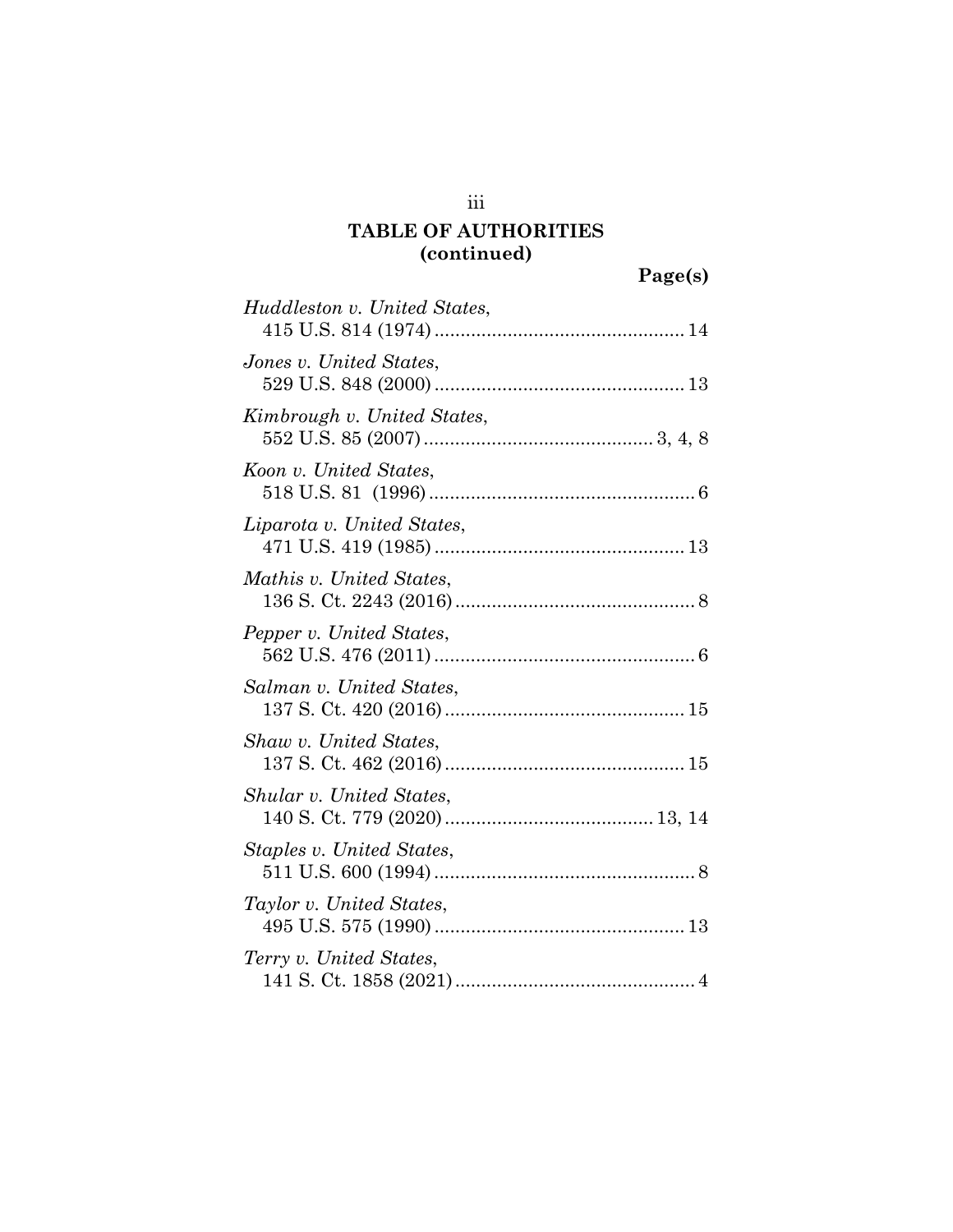| Huddleston v. United States, |
|------------------------------|
| Jones v. United States,      |
| Kimbrough v. United States,  |
| Koon v. United States,       |
| Liparota v. United States,   |
| Mathis v. United States,     |
| Pepper v. United States,     |
| Salman v. United States,     |
| Shaw v. United States,       |
| Shular v. United States,     |
| Staples v. United States,    |
| Taylor v. United States,     |
| Terry v. United States,      |

iii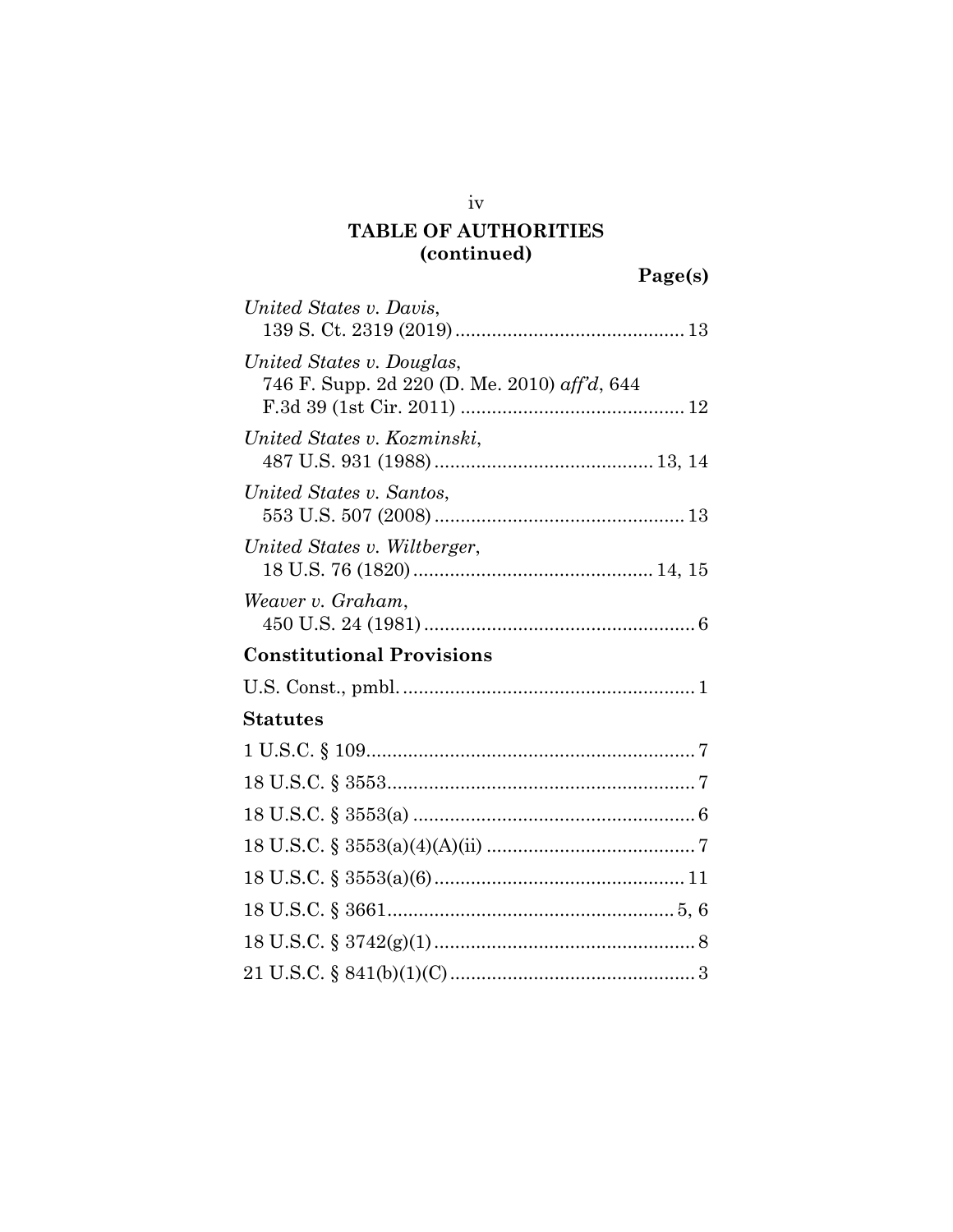| United States v. Davis,                                                   |
|---------------------------------------------------------------------------|
| United States v. Douglas,<br>746 F. Supp. 2d 220 (D. Me. 2010) aff'd, 644 |
| United States v. Kozminski,                                               |
| United States v. Santos,                                                  |
| United States v. Wiltberger,                                              |
| Weaver v. Graham,                                                         |
| <b>Constitutional Provisions</b>                                          |
|                                                                           |
| <b>Statutes</b>                                                           |
|                                                                           |
|                                                                           |
|                                                                           |
|                                                                           |
|                                                                           |
|                                                                           |
|                                                                           |
|                                                                           |

iv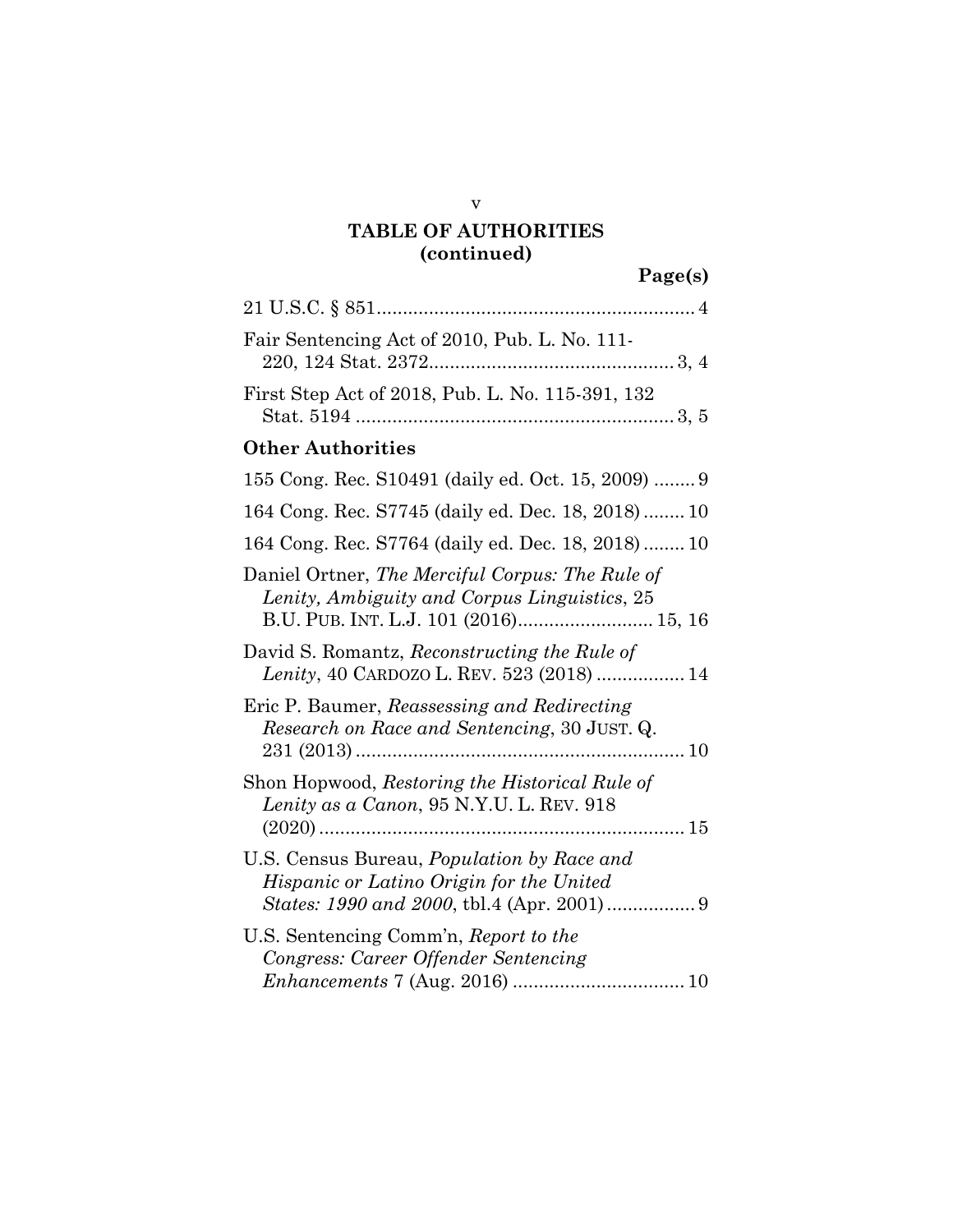| Fair Sentencing Act of 2010, Pub. L. No. 111-                                                                                            |
|------------------------------------------------------------------------------------------------------------------------------------------|
| First Step Act of 2018, Pub. L. No. 115-391, 132                                                                                         |
| <b>Other Authorities</b>                                                                                                                 |
| 155 Cong. Rec. S10491 (daily ed. Oct. 15, 2009)  9                                                                                       |
| 164 Cong. Rec. S7745 (daily ed. Dec. 18, 2018)  10                                                                                       |
| 164 Cong. Rec. S7764 (daily ed. Dec. 18, 2018)  10                                                                                       |
| Daniel Ortner, The Merciful Corpus: The Rule of<br>Lenity, Ambiguity and Corpus Linguistics, 25<br>B.U. PUB. INT. L.J. 101 (2016) 15, 16 |
| David S. Romantz, Reconstructing the Rule of<br>Lenity, 40 CARDOZO L. REV. 523 (2018)  14                                                |
| Eric P. Baumer, Reassessing and Redirecting<br><i>Research on Race and Sentencing, 30 JUST. Q.</i><br>…… 10                              |
| Shon Hopwood, Restoring the Historical Rule of<br>Lenity as a Canon, 95 N.Y.U. L. REV. 918                                               |
| U.S. Census Bureau, <i>Population by Race and</i><br>Hispanic or Latino Origin for the United                                            |
| U.S. Sentencing Comm'n, Report to the<br>Congress: Career Offender Sentencing                                                            |

v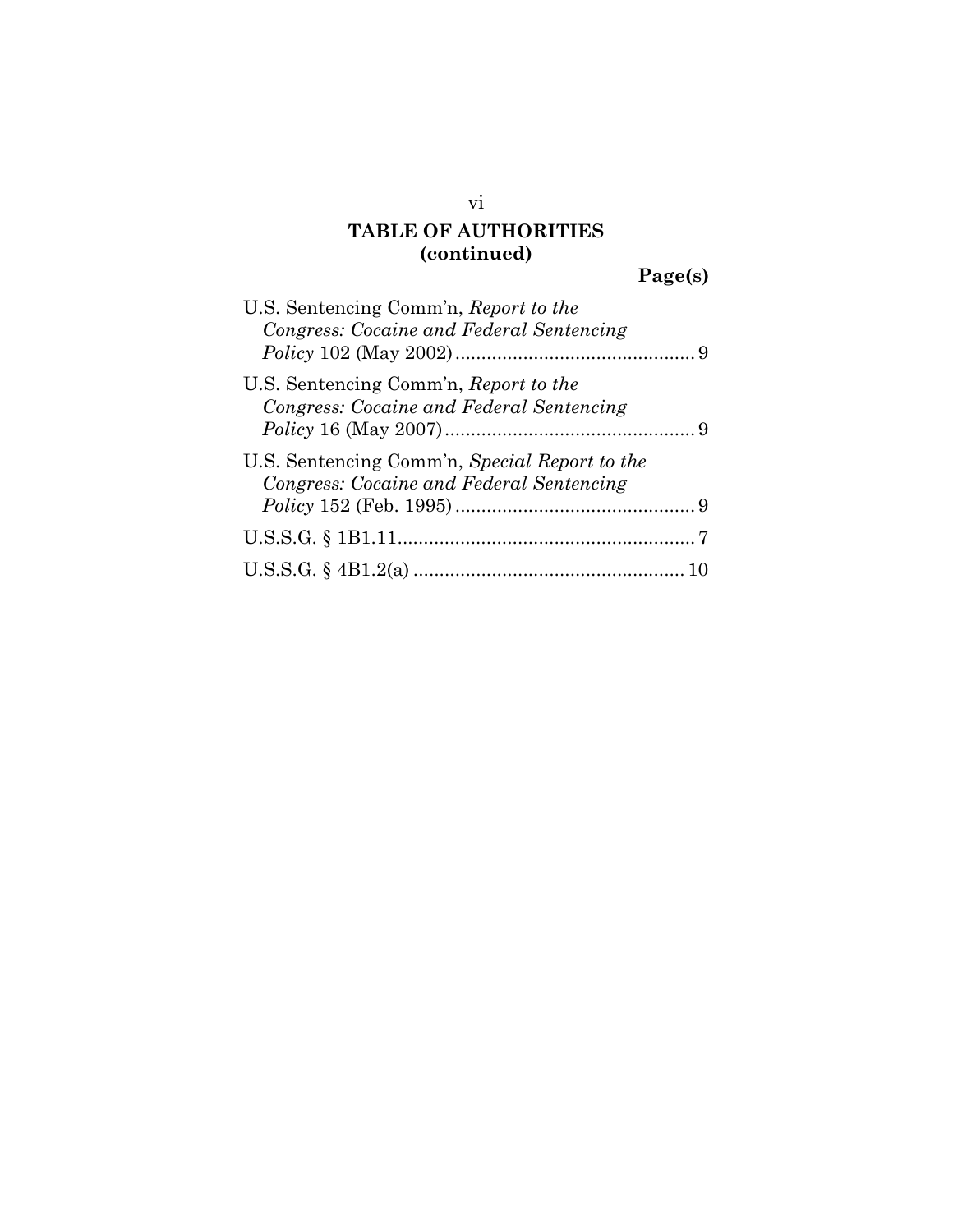# **Page(s)**

| U.S. Sentencing Comm'n, Report to the         |  |
|-----------------------------------------------|--|
| Congress: Cocaine and Federal Sentencing      |  |
|                                               |  |
| U.S. Sentencing Comm'n, Report to the         |  |
| Congress: Cocaine and Federal Sentencing      |  |
|                                               |  |
| U.S. Sentencing Comm'n, Special Report to the |  |
| Congress: Cocaine and Federal Sentencing      |  |
|                                               |  |
|                                               |  |
|                                               |  |

vi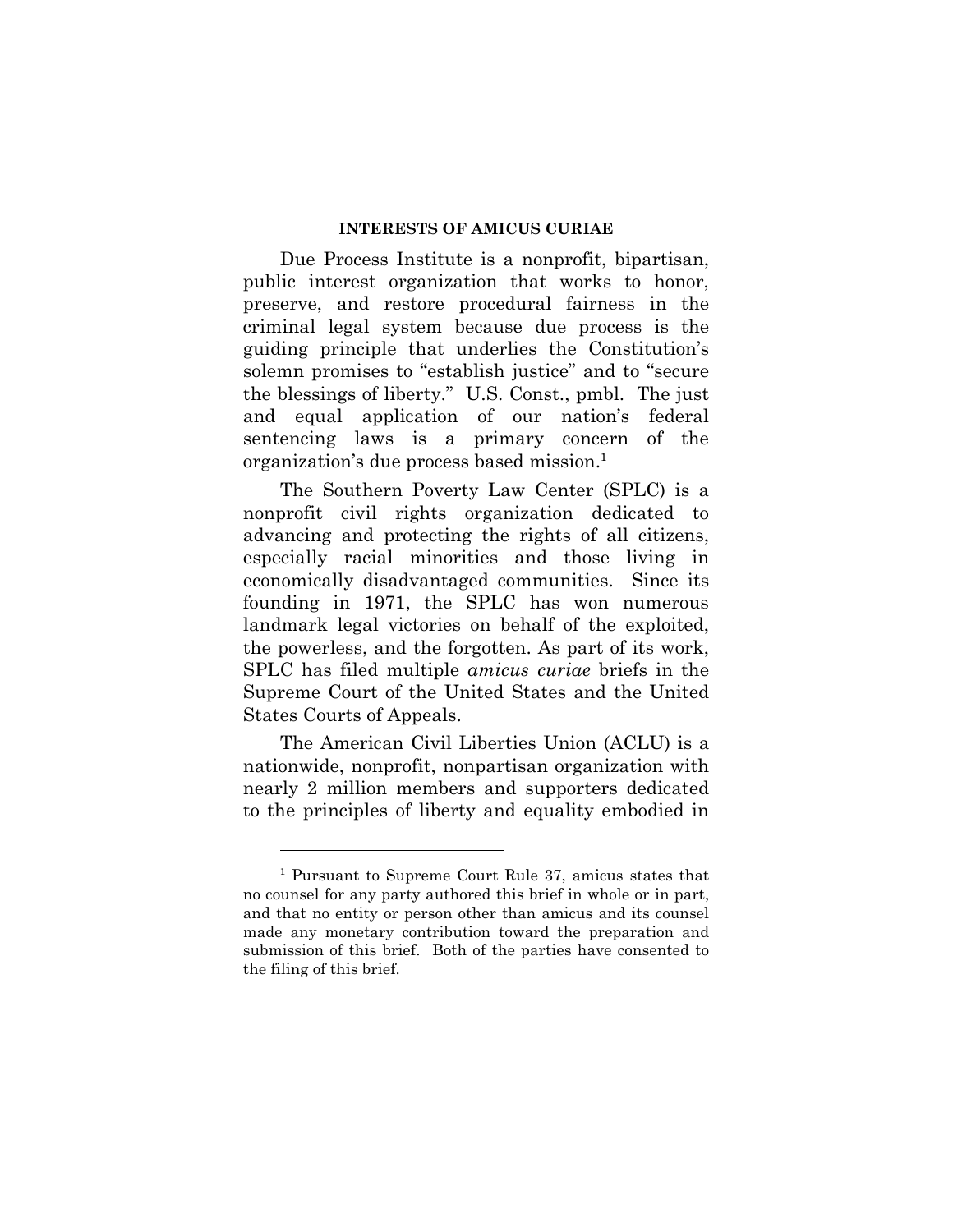### **INTERESTS OF AMICUS CURIAE**

Due Process Institute is a nonprofit, bipartisan, public interest organization that works to honor, preserve, and restore procedural fairness in the criminal legal system because due process is the guiding principle that underlies the Constitution's solemn promises to "establish justice" and to "secure the blessings of liberty." U.S. Const., pmbl. The just and equal application of our nation's federal sentencing laws is a primary concern of the organization's due process based mission.<sup>1</sup>

The Southern Poverty Law Center (SPLC) is a nonprofit civil rights organization dedicated to advancing and protecting the rights of all citizens, especially racial minorities and those living in economically disadvantaged communities. Since its founding in 1971, the SPLC has won numerous landmark legal victories on behalf of the exploited, the powerless, and the forgotten. As part of its work, SPLC has filed multiple *amicus curiae* briefs in the Supreme Court of the United States and the United States Courts of Appeals.

The American Civil Liberties Union (ACLU) is a nationwide, nonprofit, nonpartisan organization with nearly 2 million members and supporters dedicated to the principles of liberty and equality embodied in

<sup>1</sup> Pursuant to Supreme Court Rule 37, amicus states that no counsel for any party authored this brief in whole or in part, and that no entity or person other than amicus and its counsel made any monetary contribution toward the preparation and submission of this brief. Both of the parties have consented to the filing of this brief.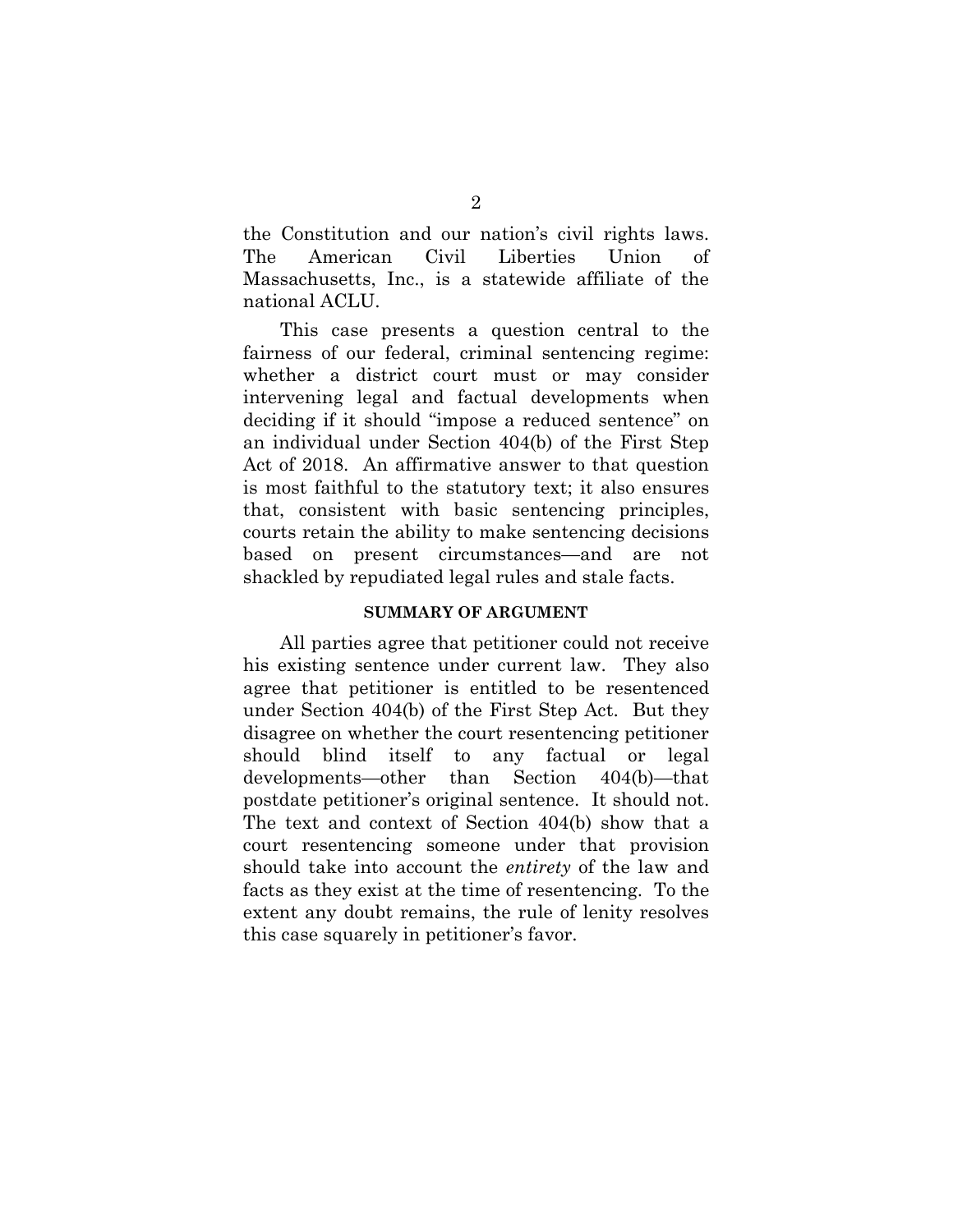the Constitution and our nation's civil rights laws. The American Civil Liberties Union of Massachusetts, Inc., is a statewide affiliate of the national ACLU.

This case presents a question central to the fairness of our federal, criminal sentencing regime: whether a district court must or may consider intervening legal and factual developments when deciding if it should "impose a reduced sentence" on an individual under Section 404(b) of the First Step Act of 2018. An affirmative answer to that question is most faithful to the statutory text; it also ensures that, consistent with basic sentencing principles, courts retain the ability to make sentencing decisions based on present circumstances—and are not shackled by repudiated legal rules and stale facts.

#### **SUMMARY OF ARGUMENT**

All parties agree that petitioner could not receive his existing sentence under current law. They also agree that petitioner is entitled to be resentenced under Section 404(b) of the First Step Act. But they disagree on whether the court resentencing petitioner should blind itself to any factual or legal developments—other than Section 404(b)—that postdate petitioner's original sentence. It should not. The text and context of Section 404(b) show that a court resentencing someone under that provision should take into account the *entirety* of the law and facts as they exist at the time of resentencing. To the extent any doubt remains, the rule of lenity resolves this case squarely in petitioner's favor.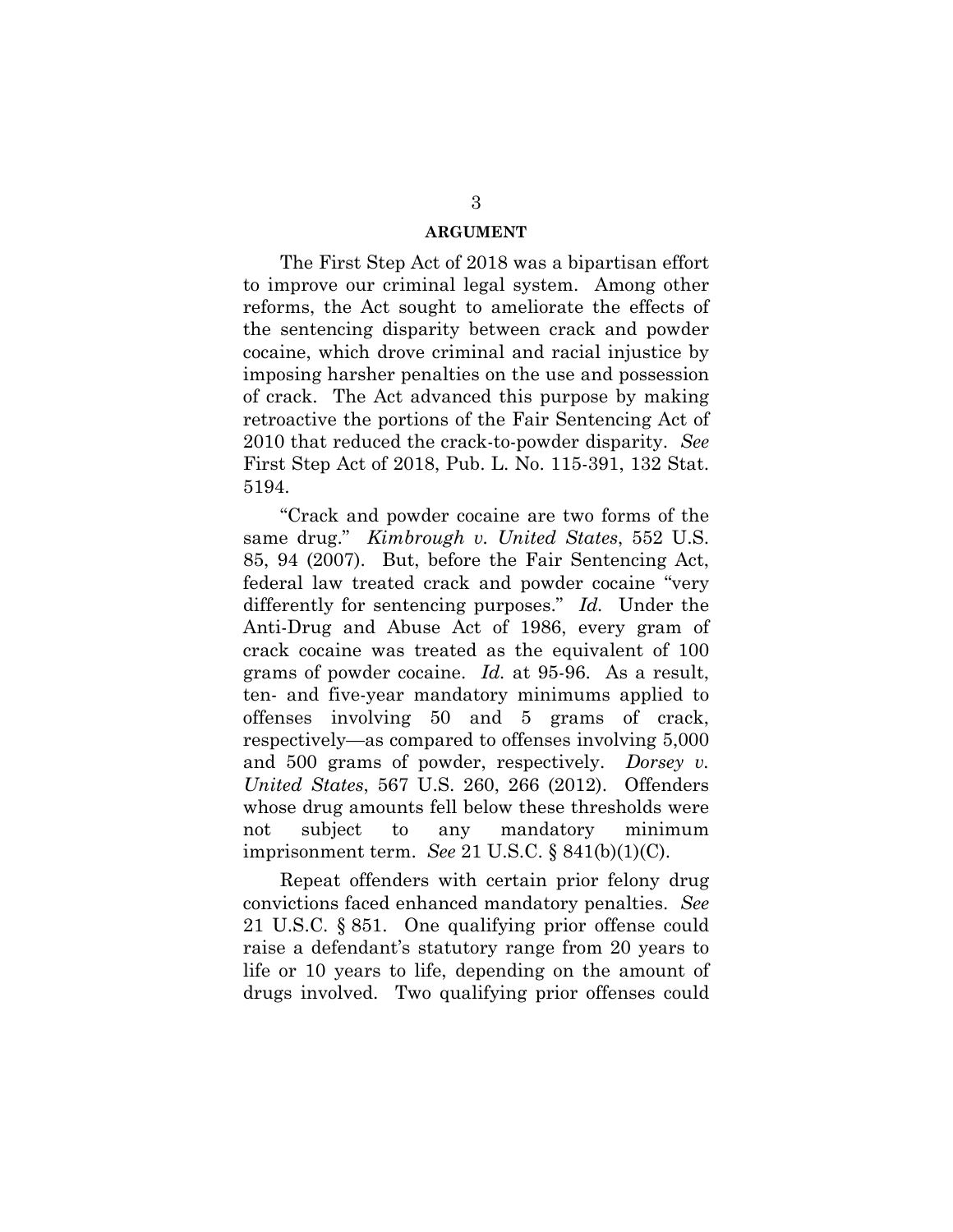### **ARGUMENT**

The First Step Act of 2018 was a bipartisan effort to improve our criminal legal system. Among other reforms, the Act sought to ameliorate the effects of the sentencing disparity between crack and powder cocaine, which drove criminal and racial injustice by imposing harsher penalties on the use and possession of crack. The Act advanced this purpose by making retroactive the portions of the Fair Sentencing Act of 2010 that reduced the crack-to-powder disparity. *See*  First Step Act of 2018, Pub. L. No. 115-391, 132 Stat. 5194.

"Crack and powder cocaine are two forms of the same drug." *Kimbrough v. United States*, 552 U.S. 85, 94 (2007). But, before the Fair Sentencing Act, federal law treated crack and powder cocaine "very differently for sentencing purposes." *Id.* Under the Anti-Drug and Abuse Act of 1986, every gram of crack cocaine was treated as the equivalent of 100 grams of powder cocaine. *Id.* at 95-96. As a result, ten- and five-year mandatory minimums applied to offenses involving 50 and 5 grams of crack, respectively—as compared to offenses involving 5,000 and 500 grams of powder, respectively. *Dorsey v. United States*, 567 U.S. 260, 266 (2012). Offenders whose drug amounts fell below these thresholds were not subject to any mandatory minimum imprisonment term. *See* 21 U.S.C. § 841(b)(1)(C).

Repeat offenders with certain prior felony drug convictions faced enhanced mandatory penalties. *See*  21 U.S.C. § 851. One qualifying prior offense could raise a defendant's statutory range from 20 years to life or 10 years to life, depending on the amount of drugs involved. Two qualifying prior offenses could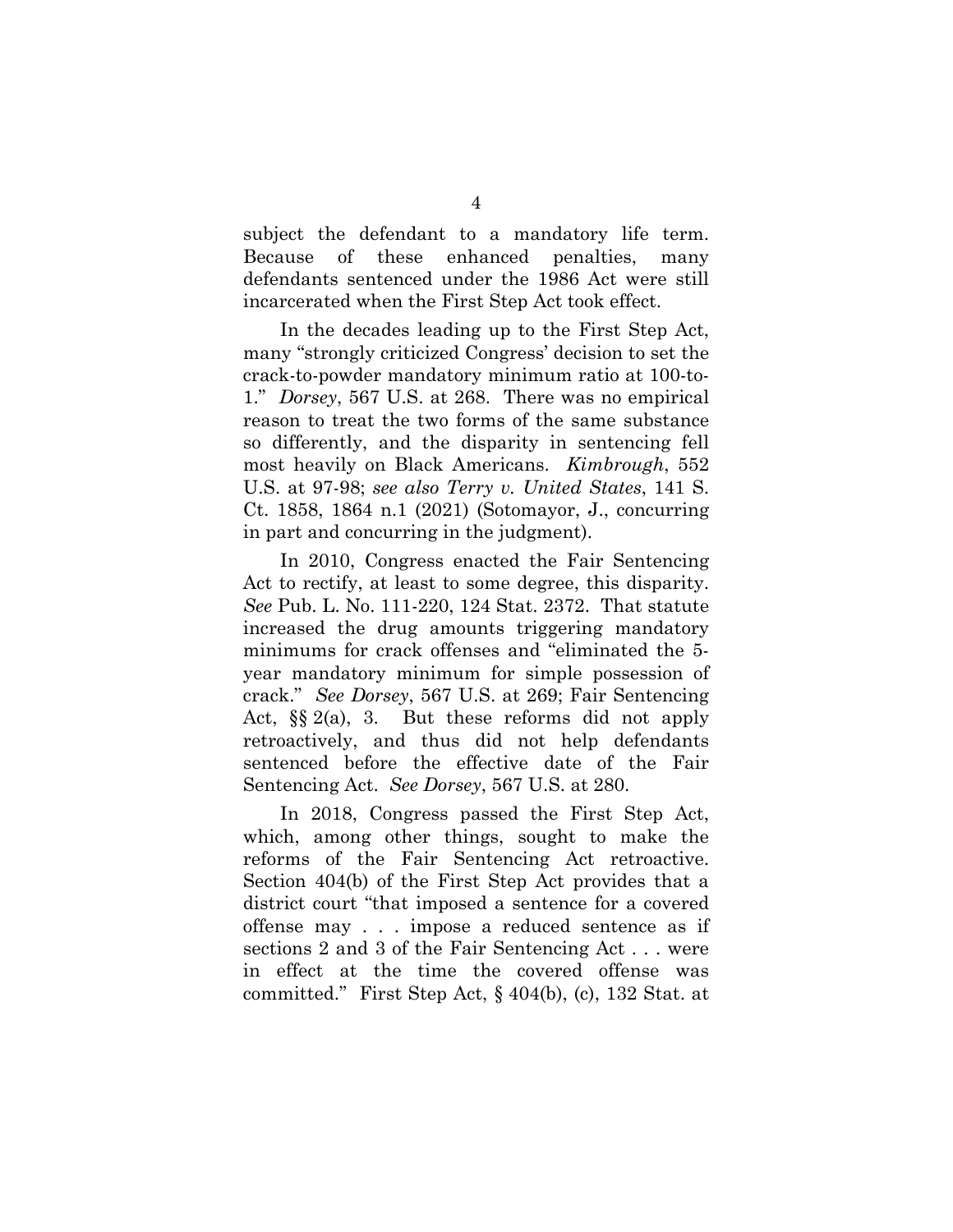subject the defendant to a mandatory life term. Because of these enhanced penalties, many defendants sentenced under the 1986 Act were still incarcerated when the First Step Act took effect.

In the decades leading up to the First Step Act, many "strongly criticized Congress' decision to set the crack-to-powder mandatory minimum ratio at 100-to-1." *Dorsey*, 567 U.S. at 268. There was no empirical reason to treat the two forms of the same substance so differently, and the disparity in sentencing fell most heavily on Black Americans. *Kimbrough*, 552 U.S. at 97-98; *see also Terry v. United States*, 141 S. Ct. 1858, 1864 n.1 (2021) (Sotomayor, J., concurring in part and concurring in the judgment).

In 2010, Congress enacted the Fair Sentencing Act to rectify, at least to some degree, this disparity. *See* Pub. L. No. 111-220, 124 Stat. 2372. That statute increased the drug amounts triggering mandatory minimums for crack offenses and "eliminated the 5 year mandatory minimum for simple possession of crack." *See Dorsey*, 567 U.S. at 269; Fair Sentencing Act, §§ 2(a), 3. But these reforms did not apply retroactively, and thus did not help defendants sentenced before the effective date of the Fair Sentencing Act. *See Dorsey*, 567 U.S. at 280.

In 2018, Congress passed the First Step Act, which, among other things, sought to make the reforms of the Fair Sentencing Act retroactive. Section 404(b) of the First Step Act provides that a district court "that imposed a sentence for a covered offense may . . . impose a reduced sentence as if sections 2 and 3 of the Fair Sentencing Act . . . were in effect at the time the covered offense was committed." First Step Act, § 404(b), (c), 132 Stat. at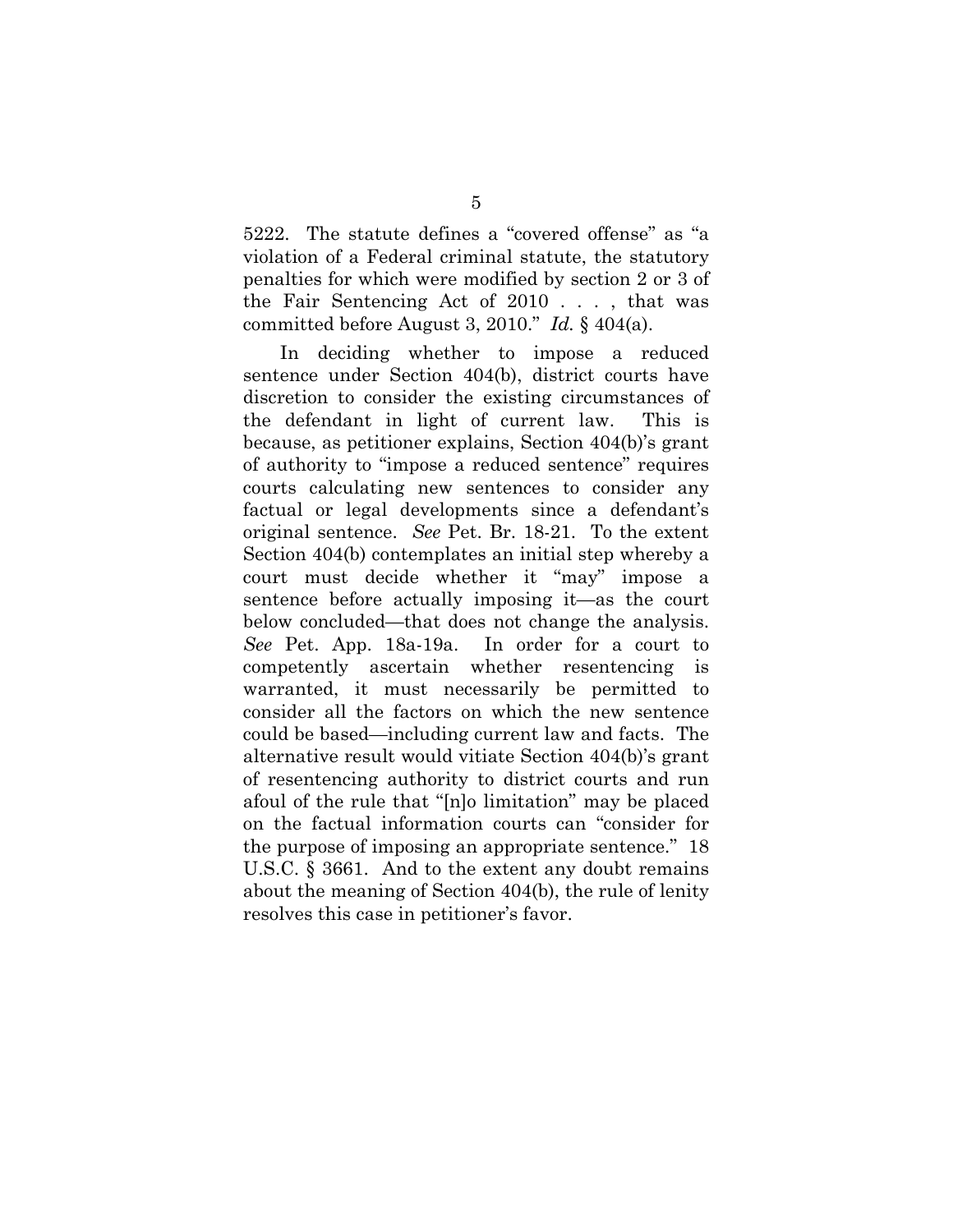5222. The statute defines a "covered offense" as "a violation of a Federal criminal statute, the statutory penalties for which were modified by section 2 or 3 of the Fair Sentencing Act of 2010 . . . , that was committed before August 3, 2010." *Id.* § 404(a).

In deciding whether to impose a reduced sentence under Section 404(b), district courts have discretion to consider the existing circumstances of the defendant in light of current law. This is because, as petitioner explains, Section 404(b)'s grant of authority to "impose a reduced sentence" requires courts calculating new sentences to consider any factual or legal developments since a defendant's original sentence. *See* Pet. Br. 18-21. To the extent Section 404(b) contemplates an initial step whereby a court must decide whether it "may" impose a sentence before actually imposing it—as the court below concluded—that does not change the analysis. *See* Pet. App. 18a-19a. In order for a court to competently ascertain whether resentencing is warranted, it must necessarily be permitted to consider all the factors on which the new sentence could be based—including current law and facts. The alternative result would vitiate Section 404(b)'s grant of resentencing authority to district courts and run afoul of the rule that "[n]o limitation" may be placed on the factual information courts can "consider for the purpose of imposing an appropriate sentence." 18 U.S.C. § 3661. And to the extent any doubt remains about the meaning of Section 404(b), the rule of lenity resolves this case in petitioner's favor.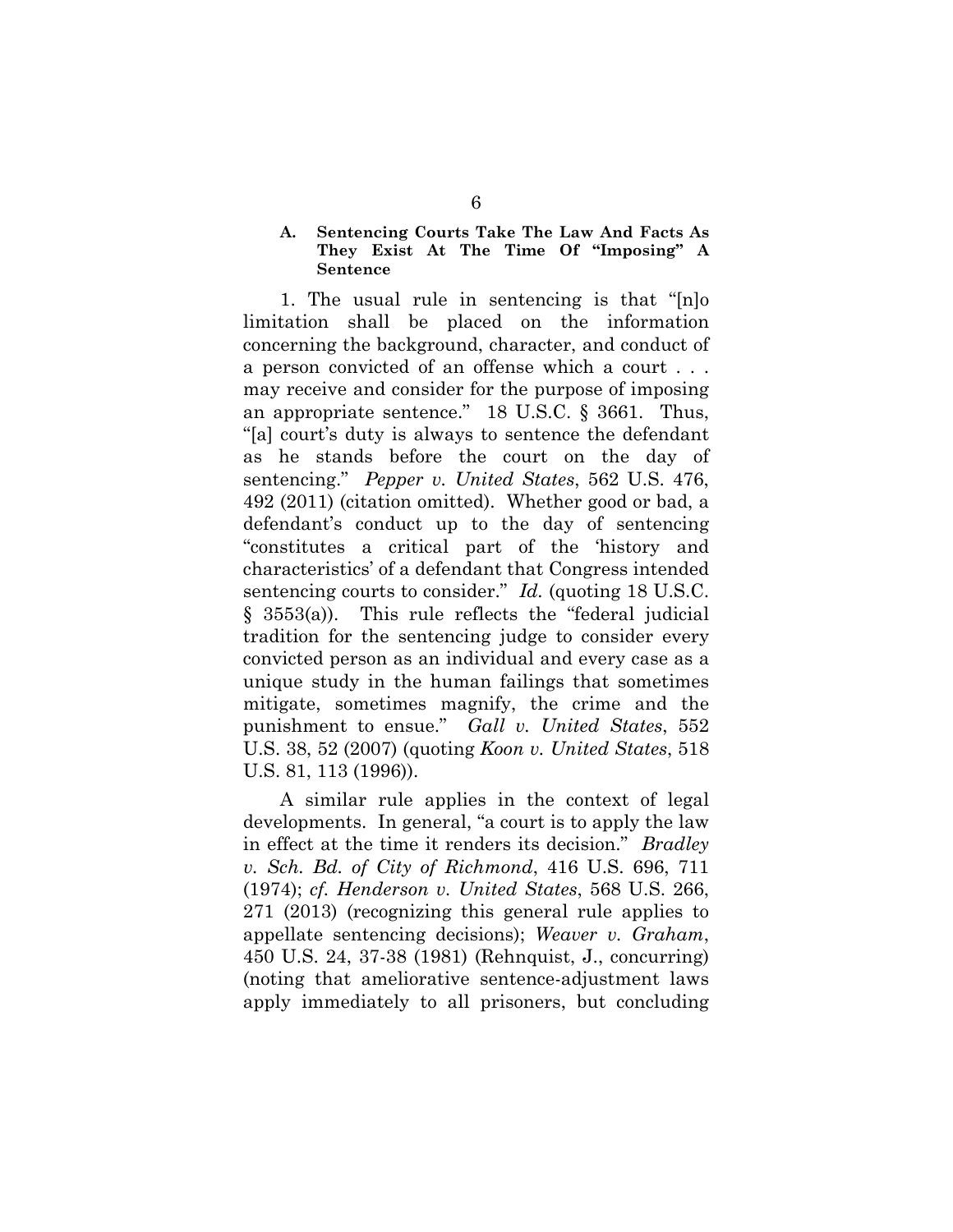## **A. Sentencing Courts Take The Law And Facts As They Exist At The Time Of "Imposing" A Sentence**

1. The usual rule in sentencing is that "[n]o limitation shall be placed on the information concerning the background, character, and conduct of a person convicted of an offense which a court . . . may receive and consider for the purpose of imposing an appropriate sentence." 18 U.S.C. § 3661. Thus, "[a] court's duty is always to sentence the defendant as he stands before the court on the day of sentencing." *Pepper v. United States*, 562 U.S. 476, 492 (2011) (citation omitted). Whether good or bad, a defendant's conduct up to the day of sentencing "constitutes a critical part of the 'history and characteristics' of a defendant that Congress intended sentencing courts to consider." *Id.* (quoting 18 U.S.C. § 3553(a)). This rule reflects the "federal judicial tradition for the sentencing judge to consider every convicted person as an individual and every case as a unique study in the human failings that sometimes mitigate, sometimes magnify, the crime and the punishment to ensue." *Gall v. United States*, 552 U.S. 38, 52 (2007) (quoting *Koon v. United States*, 518 U.S. 81, 113 (1996)).

A similar rule applies in the context of legal developments. In general, "a court is to apply the law in effect at the time it renders its decision." *Bradley v. Sch. Bd. of City of Richmond*, 416 U.S. 696, 711 (1974); *cf. Henderson v. United States*, 568 U.S. 266, 271 (2013) (recognizing this general rule applies to appellate sentencing decisions); *Weaver v. Graham*, 450 U.S. 24, 37-38 (1981) (Rehnquist, J., concurring) (noting that ameliorative sentence-adjustment laws apply immediately to all prisoners, but concluding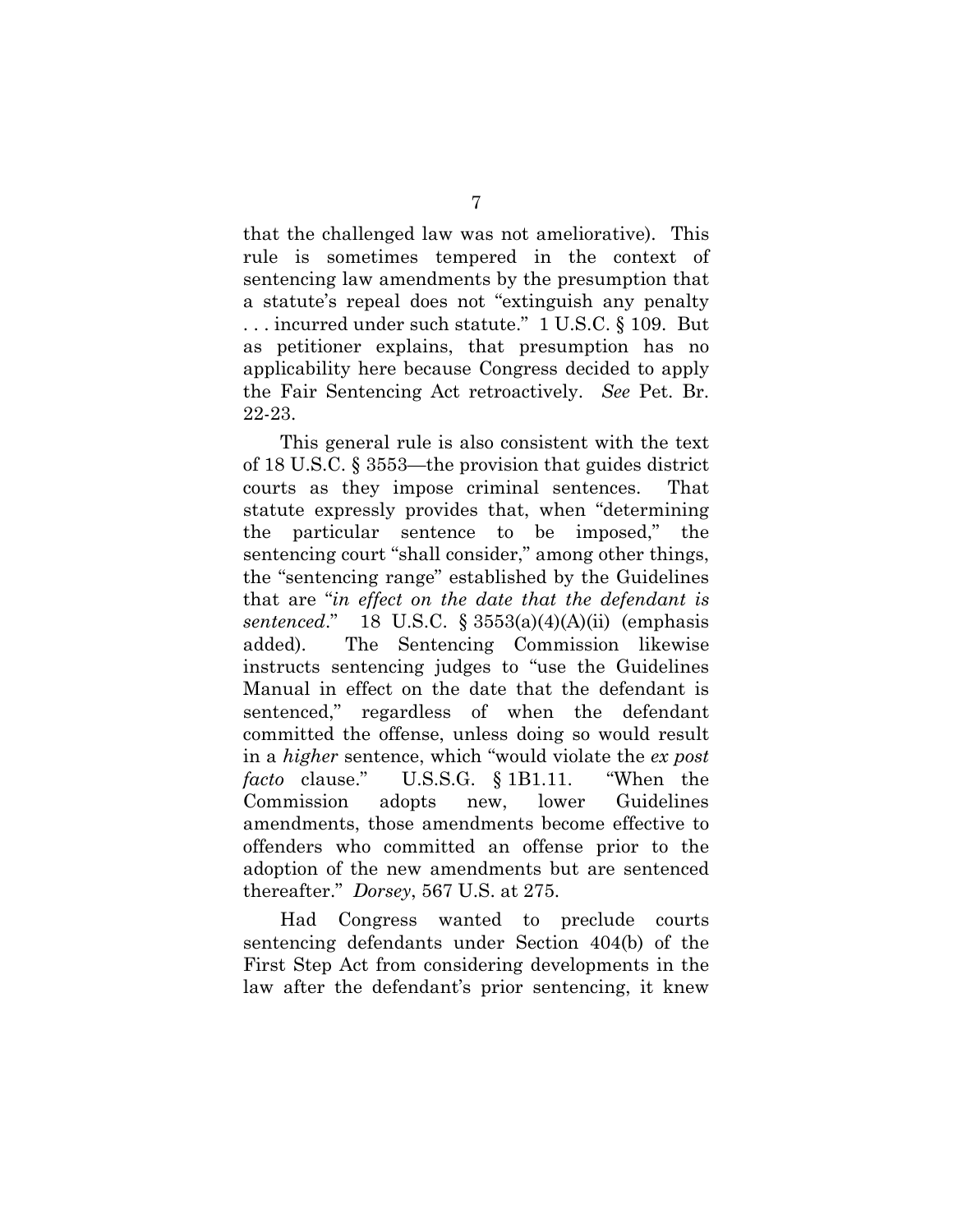that the challenged law was not ameliorative). This rule is sometimes tempered in the context of sentencing law amendments by the presumption that a statute's repeal does not "extinguish any penalty . . . incurred under such statute." 1 U.S.C. § 109. But as petitioner explains, that presumption has no applicability here because Congress decided to apply the Fair Sentencing Act retroactively. *See* Pet. Br. 22-23.

This general rule is also consistent with the text of 18 U.S.C. § 3553—the provision that guides district courts as they impose criminal sentences. That statute expressly provides that, when "determining the particular sentence to be imposed," the sentencing court "shall consider," among other things, the "sentencing range" established by the Guidelines that are "*in effect on the date that the defendant is sentenced*." 18 U.S.C. § 3553(a)(4)(A)(ii) (emphasis added). The Sentencing Commission likewise instructs sentencing judges to "use the Guidelines Manual in effect on the date that the defendant is sentenced," regardless of when the defendant committed the offense, unless doing so would result in a *higher* sentence, which "would violate the *ex post facto* clause." U.S.S.G. § 1B1.11. "When the Commission adopts new, lower Guidelines amendments, those amendments become effective to offenders who committed an offense prior to the adoption of the new amendments but are sentenced thereafter." *Dorsey*, 567 U.S. at 275.

Had Congress wanted to preclude courts sentencing defendants under Section 404(b) of the First Step Act from considering developments in the law after the defendant's prior sentencing, it knew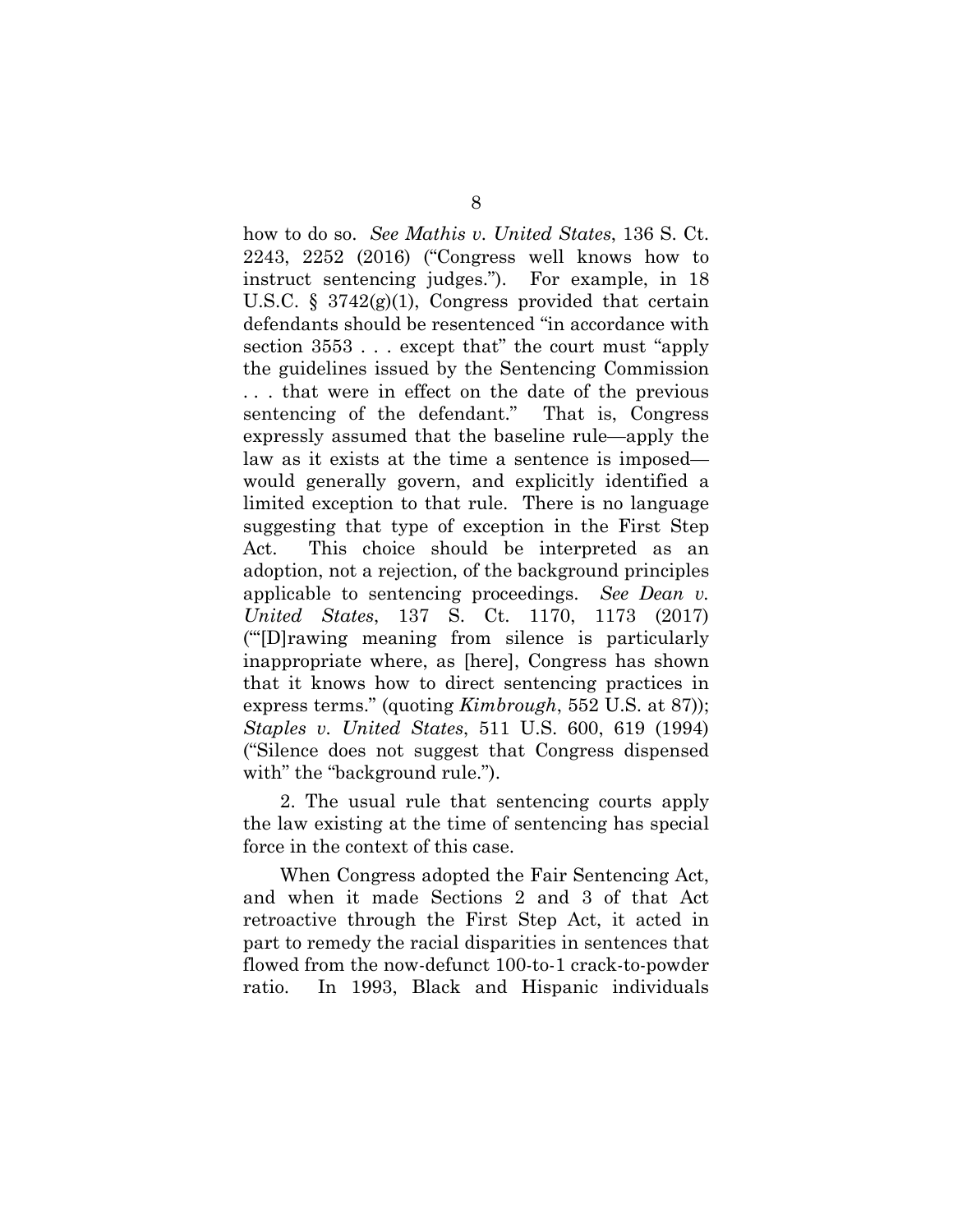how to do so. *See Mathis v. United States*, 136 S. Ct. 2243, 2252 (2016) ("Congress well knows how to instruct sentencing judges."). For example, in 18 U.S.C.  $\S$  3742(g)(1), Congress provided that certain defendants should be resentenced "in accordance with section 3553 . . . except that" the court must "apply the guidelines issued by the Sentencing Commission . . . that were in effect on the date of the previous sentencing of the defendant." That is, Congress expressly assumed that the baseline rule—apply the law as it exists at the time a sentence is imposed would generally govern, and explicitly identified a limited exception to that rule. There is no language suggesting that type of exception in the First Step Act. This choice should be interpreted as an adoption, not a rejection, of the background principles applicable to sentencing proceedings. *See Dean v. United States*, 137 S. Ct. 1170, 1173 (2017) ("'[D]rawing meaning from silence is particularly inappropriate where, as [here], Congress has shown that it knows how to direct sentencing practices in express terms." (quoting *Kimbrough*, 552 U.S. at 87)); *Staples v. United States*, 511 U.S. 600, 619 (1994) ("Silence does not suggest that Congress dispensed with" the "background rule.").

2. The usual rule that sentencing courts apply the law existing at the time of sentencing has special force in the context of this case.

When Congress adopted the Fair Sentencing Act, and when it made Sections 2 and 3 of that Act retroactive through the First Step Act, it acted in part to remedy the racial disparities in sentences that flowed from the now-defunct 100-to-1 crack-to-powder ratio. In 1993, Black and Hispanic individuals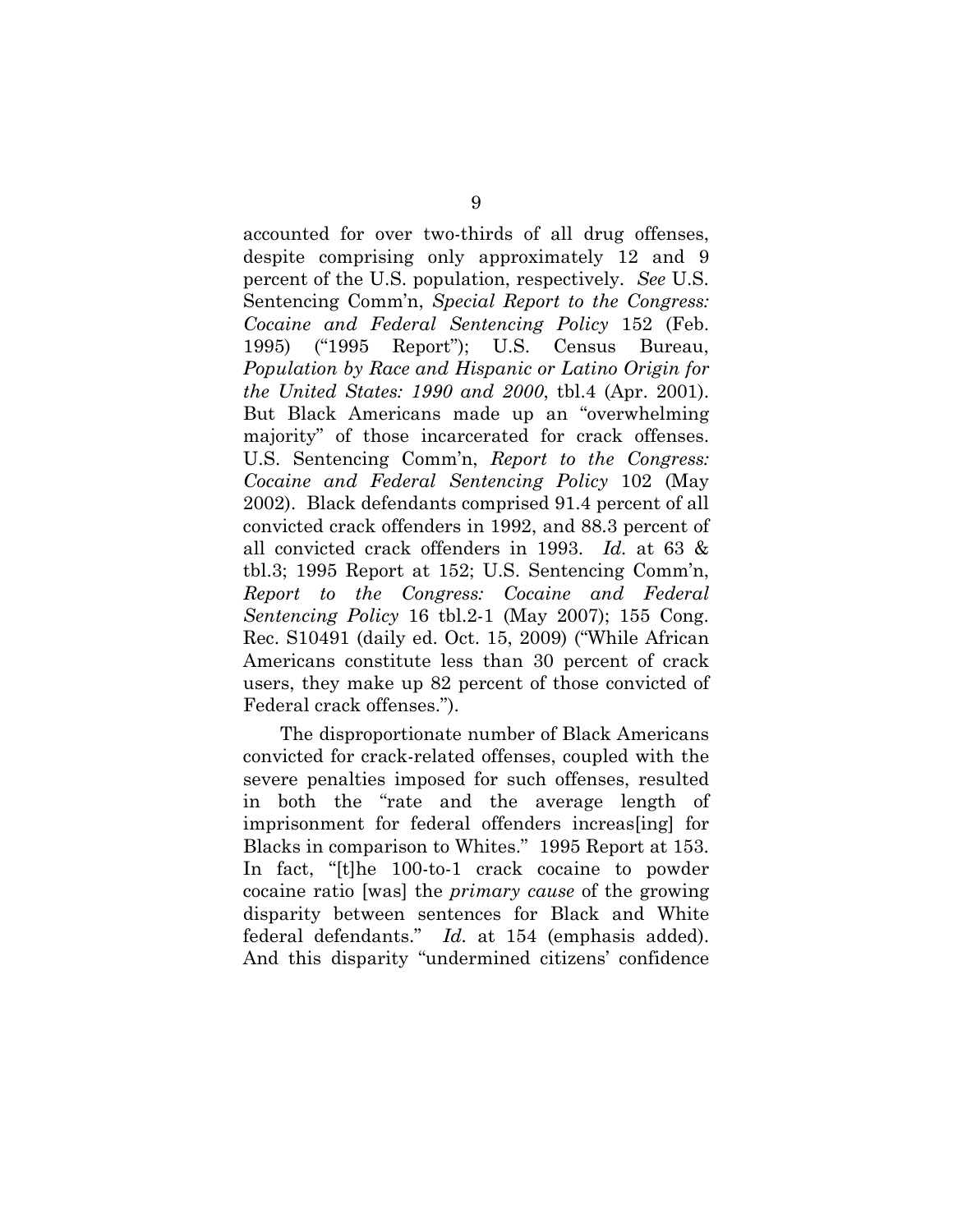accounted for over two-thirds of all drug offenses, despite comprising only approximately 12 and 9 percent of the U.S. population, respectively. *See* U.S. Sentencing Comm'n, *Special Report to the Congress: Cocaine and Federal Sentencing Policy* 152 (Feb. 1995) ("1995 Report"); U.S. Census Bureau, *Population by Race and Hispanic or Latino Origin for the United States: 1990 and 2000*, tbl.4 (Apr. 2001). But Black Americans made up an "overwhelming majority" of those incarcerated for crack offenses. U.S. Sentencing Comm'n, *Report to the Congress: Cocaine and Federal Sentencing Policy* 102 (May 2002). Black defendants comprised 91.4 percent of all convicted crack offenders in 1992, and 88.3 percent of all convicted crack offenders in 1993. *Id.* at 63 & tbl.3; 1995 Report at 152; U.S. Sentencing Comm'n, *Report to the Congress: Cocaine and Federal Sentencing Policy* 16 tbl.2-1 (May 2007); 155 Cong. Rec. S10491 (daily ed. Oct. 15, 2009) ("While African Americans constitute less than 30 percent of crack users, they make up 82 percent of those convicted of Federal crack offenses.").

The disproportionate number of Black Americans convicted for crack-related offenses, coupled with the severe penalties imposed for such offenses, resulted in both the "rate and the average length of imprisonment for federal offenders increas[ing] for Blacks in comparison to Whites." 1995 Report at 153. In fact, "[t]he 100-to-1 crack cocaine to powder cocaine ratio [was] the *primary cause* of the growing disparity between sentences for Black and White federal defendants." *Id.* at 154 (emphasis added). And this disparity "undermined citizens' confidence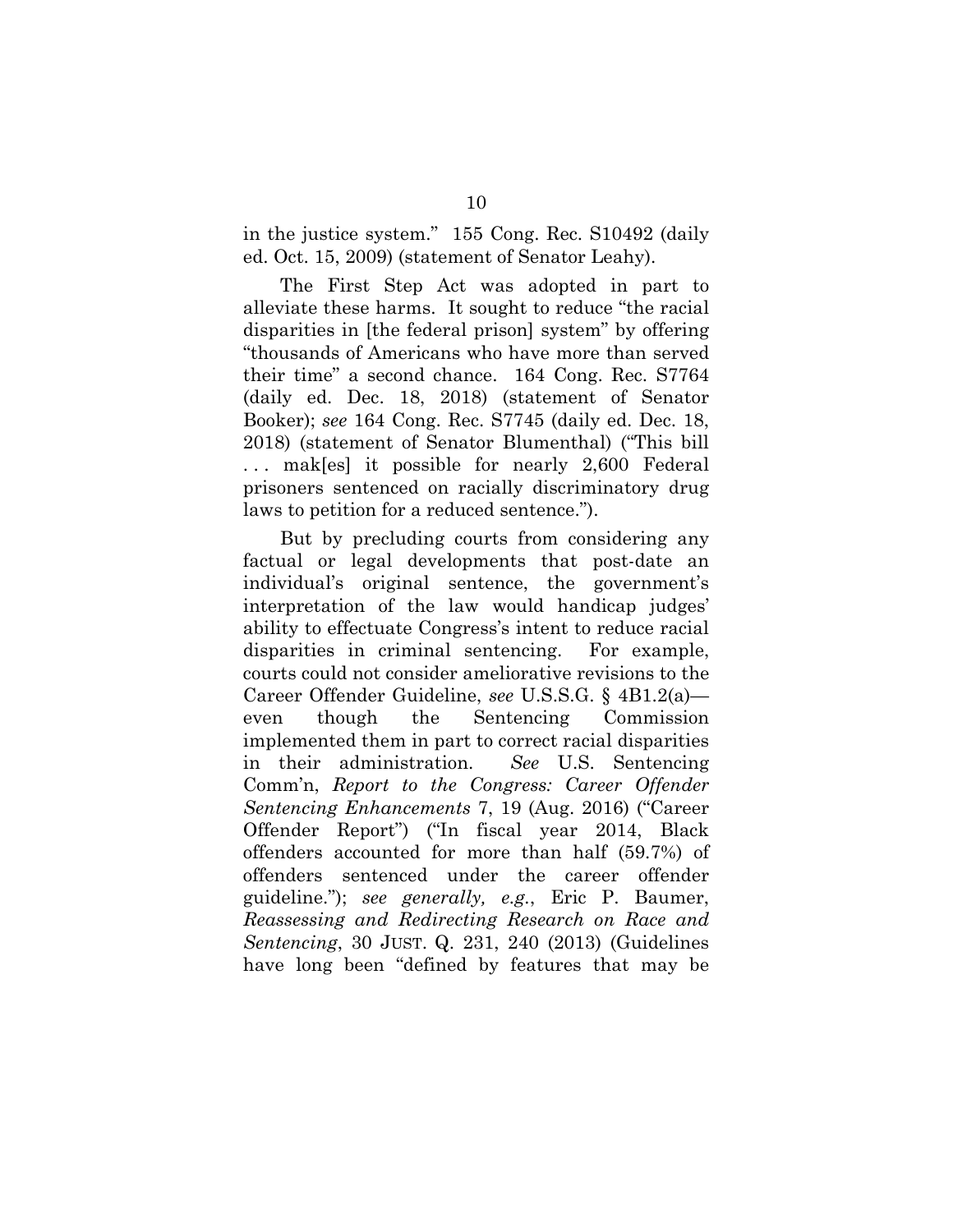in the justice system." 155 Cong. Rec. S10492 (daily ed. Oct. 15, 2009) (statement of Senator Leahy).

The First Step Act was adopted in part to alleviate these harms. It sought to reduce "the racial disparities in [the federal prison] system" by offering "thousands of Americans who have more than served their time" a second chance.164 Cong. Rec. S7764 (daily ed. Dec. 18, 2018) (statement of Senator Booker); *see* 164 Cong. Rec. S7745 (daily ed. Dec. 18, 2018) (statement of Senator Blumenthal) ("This bill ... mak[es] it possible for nearly 2,600 Federal prisoners sentenced on racially discriminatory drug laws to petition for a reduced sentence.").

But by precluding courts from considering any factual or legal developments that post-date an individual's original sentence, the government's interpretation of the law would handicap judges' ability to effectuate Congress's intent to reduce racial disparities in criminal sentencing. For example, courts could not consider ameliorative revisions to the Career Offender Guideline, *see* U.S.S.G. § 4B1.2(a) even though the Sentencing Commission implemented them in part to correct racial disparities in their administration. *See* U.S. Sentencing Comm'n, *Report to the Congress: Career Offender Sentencing Enhancements* 7, 19 (Aug. 2016) ("Career Offender Report") ("In fiscal year 2014, Black offenders accounted for more than half (59.7%) of offenders sentenced under the career offender guideline."); *see generally, e.g.*, Eric P. Baumer, *Reassessing and Redirecting Research on Race and Sentencing*, 30 JUST. Q. 231, 240 (2013) (Guidelines have long been "defined by features that may be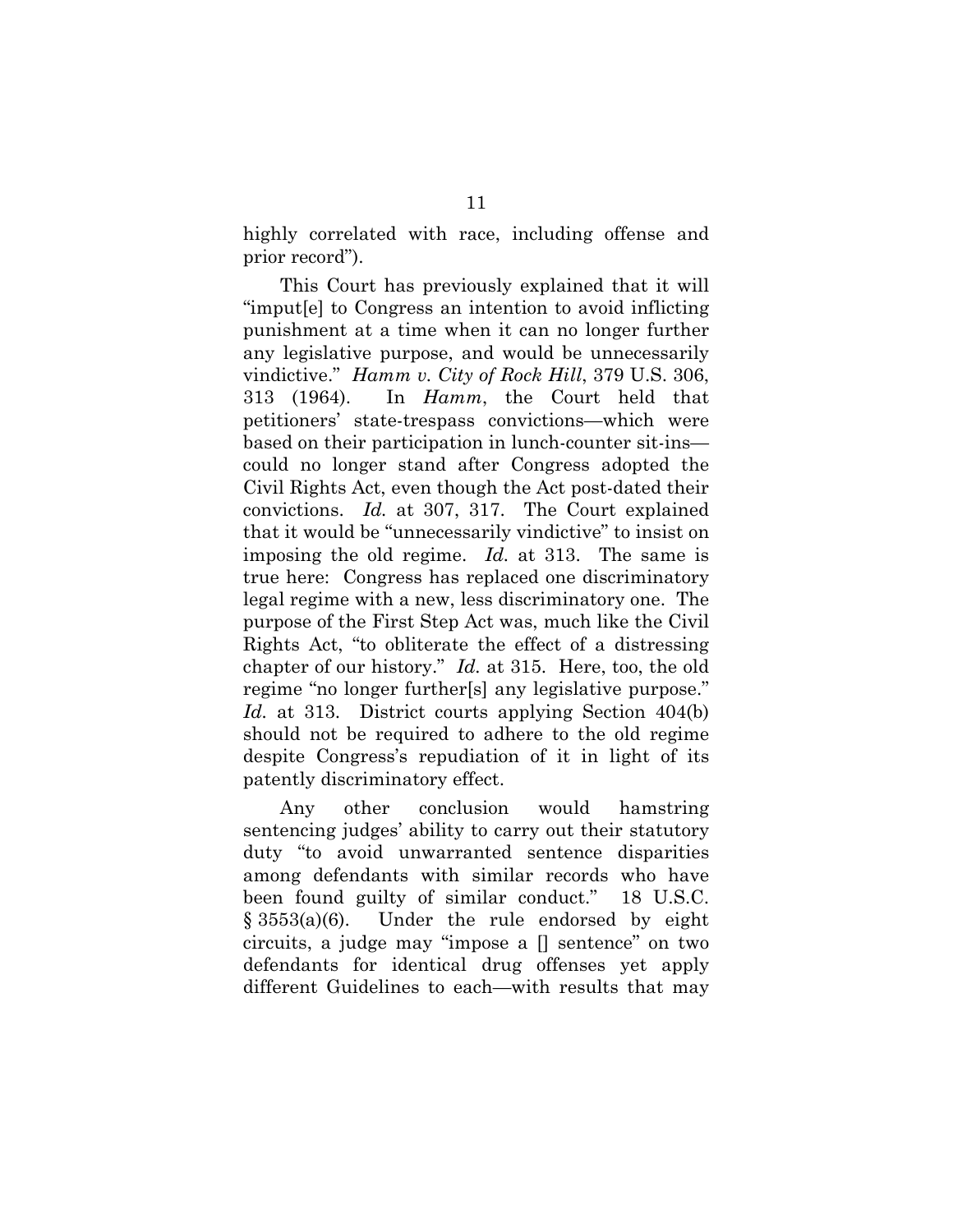highly correlated with race, including offense and prior record").

This Court has previously explained that it will "imput[e] to Congress an intention to avoid inflicting punishment at a time when it can no longer further any legislative purpose, and would be unnecessarily vindictive." *Hamm v. City of Rock Hill*, 379 U.S. 306, 313 (1964). In *Hamm*, the Court held that petitioners' state-trespass convictions—which were based on their participation in lunch-counter sit-ins could no longer stand after Congress adopted the Civil Rights Act, even though the Act post-dated their convictions. *Id.* at 307, 317. The Court explained that it would be "unnecessarily vindictive" to insist on imposing the old regime. *Id.* at 313. The same is true here: Congress has replaced one discriminatory legal regime with a new, less discriminatory one. The purpose of the First Step Act was, much like the Civil Rights Act, "to obliterate the effect of a distressing chapter of our history." *Id.* at 315. Here, too, the old regime "no longer further[s] any legislative purpose." *Id.* at 313. District courts applying Section 404(b) should not be required to adhere to the old regime despite Congress's repudiation of it in light of its patently discriminatory effect.

Any other conclusion would hamstring sentencing judges' ability to carry out their statutory duty "to avoid unwarranted sentence disparities among defendants with similar records who have been found guilty of similar conduct." 18 U.S.C. § 3553(a)(6). Under the rule endorsed by eight circuits, a judge may "impose a [] sentence" on two defendants for identical drug offenses yet apply different Guidelines to each—with results that may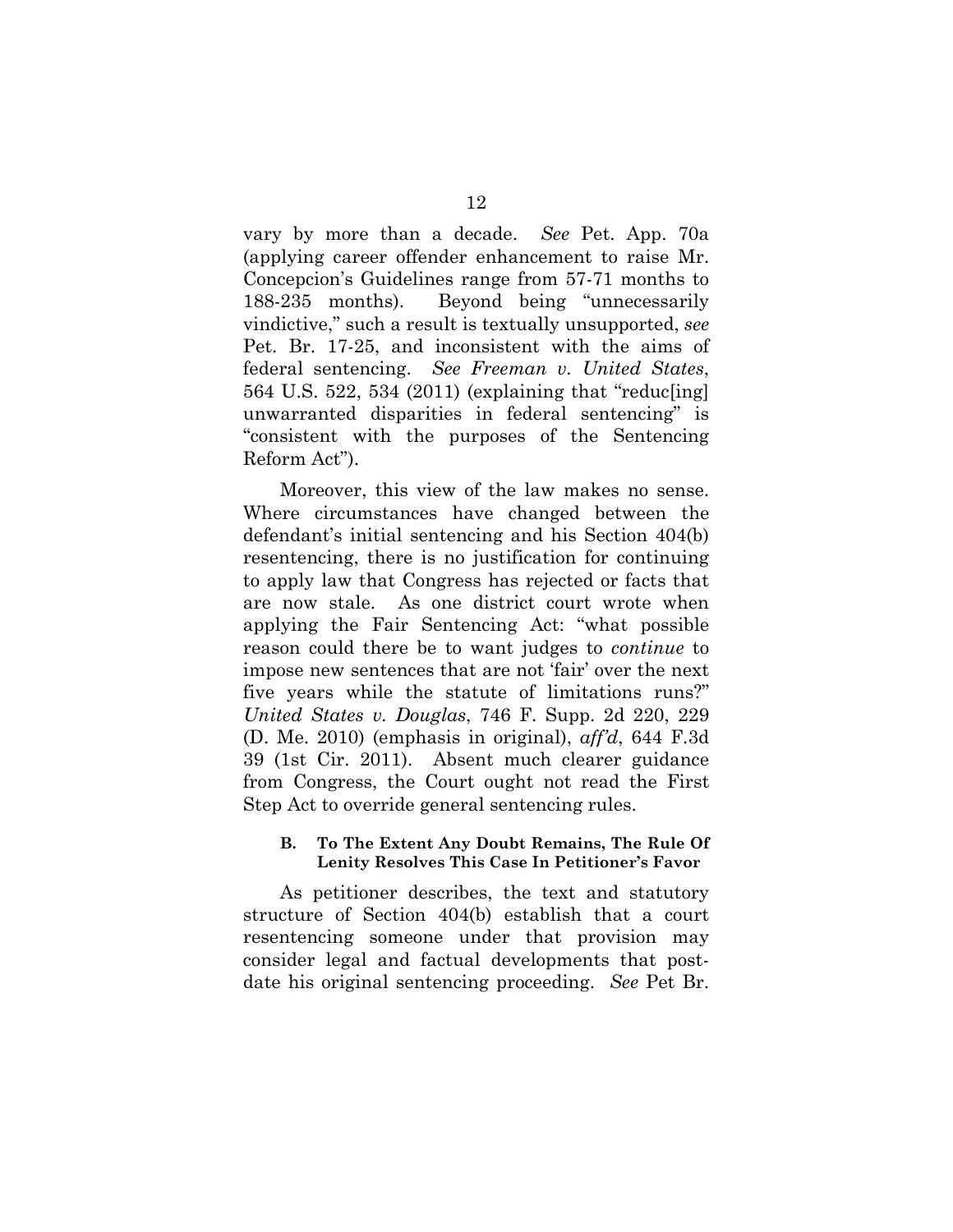vary by more than a decade. *See* Pet. App. 70a (applying career offender enhancement to raise Mr. Concepcion's Guidelines range from 57-71 months to 188-235 months). Beyond being "unnecessarily vindictive," such a result is textually unsupported, *see* Pet. Br. 17-25, and inconsistent with the aims of federal sentencing. *See Freeman v. United States*, 564 U.S. 522, 534 (2011) (explaining that "reduc[ing] unwarranted disparities in federal sentencing" is "consistent with the purposes of the Sentencing Reform Act").

Moreover, this view of the law makes no sense. Where circumstances have changed between the defendant's initial sentencing and his Section 404(b) resentencing, there is no justification for continuing to apply law that Congress has rejected or facts that are now stale. As one district court wrote when applying the Fair Sentencing Act: "what possible reason could there be to want judges to *continue* to impose new sentences that are not 'fair' over the next five years while the statute of limitations runs?" *United States v. Douglas*, 746 F. Supp. 2d 220, 229 (D. Me. 2010) (emphasis in original), *aff'd*, 644 F.3d 39 (1st Cir. 2011). Absent much clearer guidance from Congress, the Court ought not read the First Step Act to override general sentencing rules.

### **B. To The Extent Any Doubt Remains, The Rule Of Lenity Resolves This Case In Petitioner's Favor**

As petitioner describes, the text and statutory structure of Section 404(b) establish that a court resentencing someone under that provision may consider legal and factual developments that postdate his original sentencing proceeding. *See* Pet Br.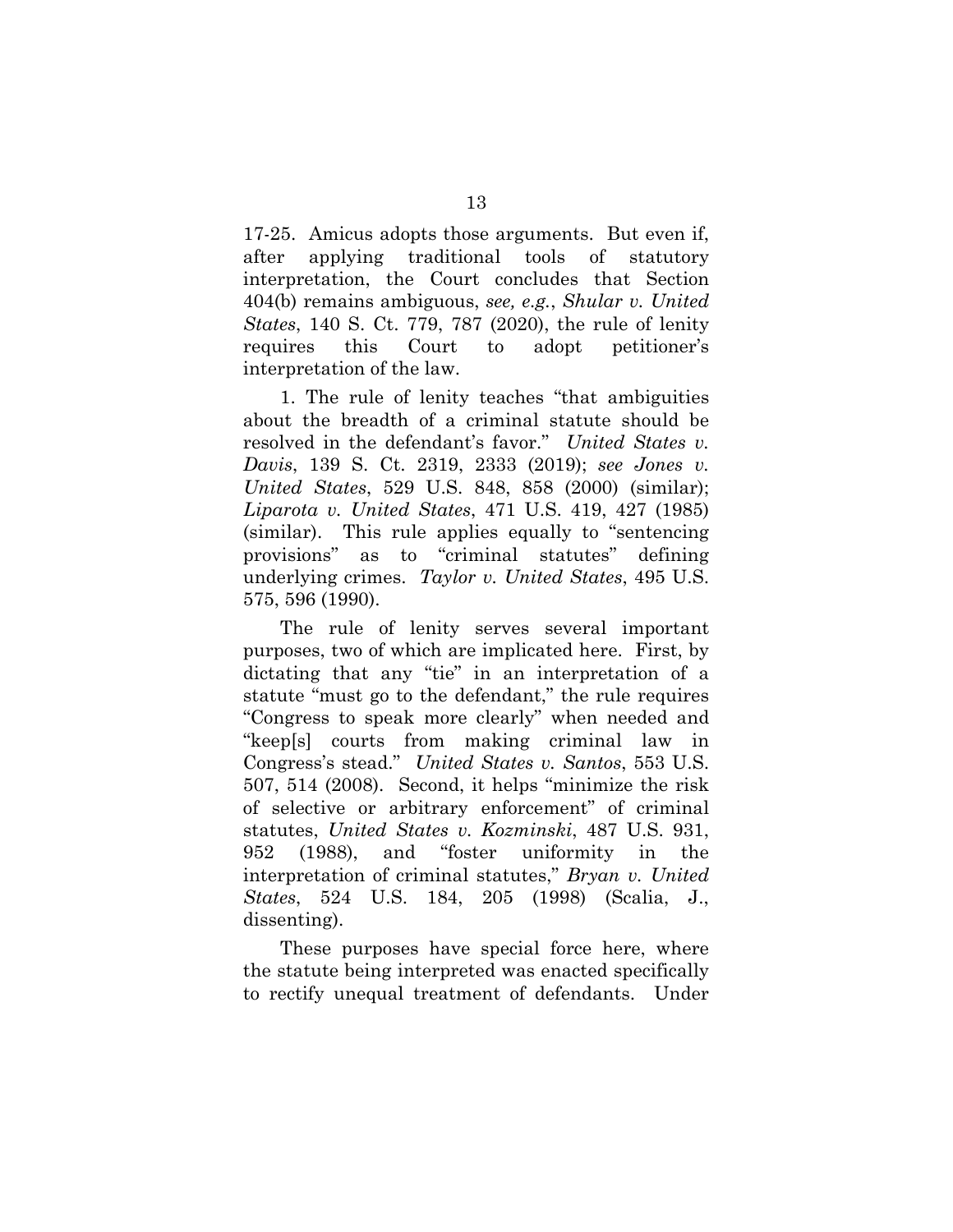17-25. Amicus adopts those arguments. But even if, after applying traditional tools of statutory interpretation, the Court concludes that Section 404(b) remains ambiguous, *see, e.g.*, *Shular v. United States*, 140 S. Ct. 779, 787 (2020), the rule of lenity requires this Court to adopt petitioner's interpretation of the law.

1. The rule of lenity teaches "that ambiguities about the breadth of a criminal statute should be resolved in the defendant's favor." *United States v. Davis*, 139 S. Ct. 2319, 2333 (2019); *see Jones v. United States*, 529 U.S. 848, 858 (2000) (similar); *Liparota v. United States*, 471 U.S. 419, 427 (1985) (similar). This rule applies equally to "sentencing provisions" as to "criminal statutes" defining underlying crimes. *Taylor v. United States*, 495 U.S. 575, 596 (1990).

The rule of lenity serves several important purposes, two of which are implicated here. First, by dictating that any "tie" in an interpretation of a statute "must go to the defendant," the rule requires "Congress to speak more clearly" when needed and "keep[s] courts from making criminal law in Congress's stead." *United States v. Santos*, 553 U.S. 507, 514 (2008). Second, it helps "minimize the risk of selective or arbitrary enforcement" of criminal statutes, *United States v. Kozminski*, 487 U.S. 931, 952 (1988), and "foster uniformity in the interpretation of criminal statutes," *Bryan v. United States*, 524 U.S. 184, 205 (1998) (Scalia, J., dissenting).

These purposes have special force here, where the statute being interpreted was enacted specifically to rectify unequal treatment of defendants. Under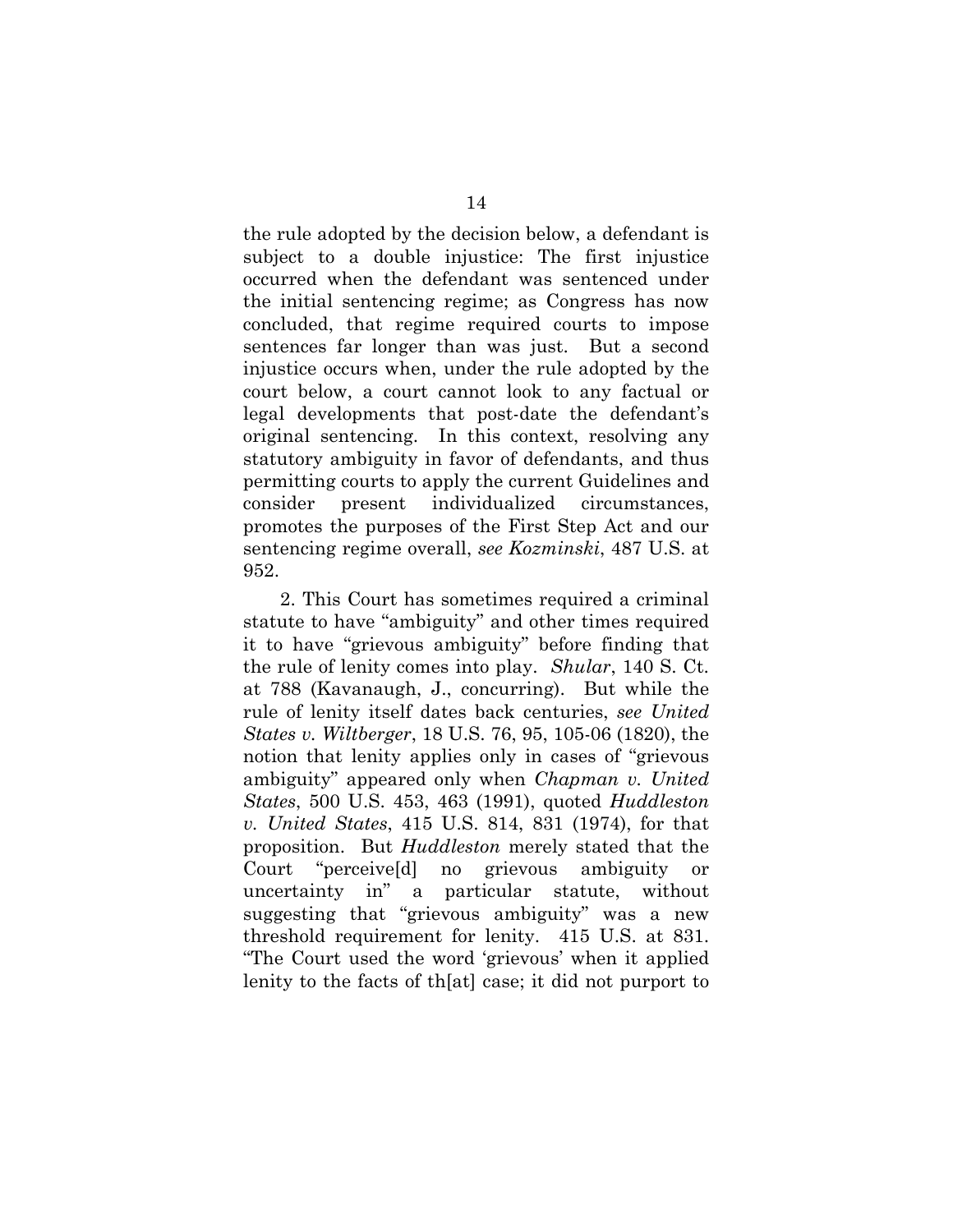the rule adopted by the decision below, a defendant is subject to a double injustice: The first injustice occurred when the defendant was sentenced under the initial sentencing regime; as Congress has now concluded, that regime required courts to impose sentences far longer than was just. But a second injustice occurs when, under the rule adopted by the court below, a court cannot look to any factual or legal developments that post-date the defendant's original sentencing. In this context, resolving any statutory ambiguity in favor of defendants, and thus permitting courts to apply the current Guidelines and consider present individualized circumstances, promotes the purposes of the First Step Act and our sentencing regime overall, *see Kozminski*, 487 U.S. at 952.

2. This Court has sometimes required a criminal statute to have "ambiguity" and other times required it to have "grievous ambiguity" before finding that the rule of lenity comes into play. *Shular*, 140 S. Ct. at 788 (Kavanaugh, J., concurring). But while the rule of lenity itself dates back centuries, *see United States v. Wiltberger*, 18 U.S. 76, 95, 105-06 (1820), the notion that lenity applies only in cases of "grievous ambiguity" appeared only when *Chapman v. United States*, 500 U.S. 453, 463 (1991), quoted *Huddleston v. United States*, 415 U.S. 814, 831 (1974), for that proposition. But *Huddleston* merely stated that the Court "perceive[d] no grievous ambiguity or uncertainty in" a particular statute, without suggesting that "grievous ambiguity" was a new threshold requirement for lenity. 415 U.S. at 831. "The Court used the word 'grievous' when it applied lenity to the facts of th[at] case; it did not purport to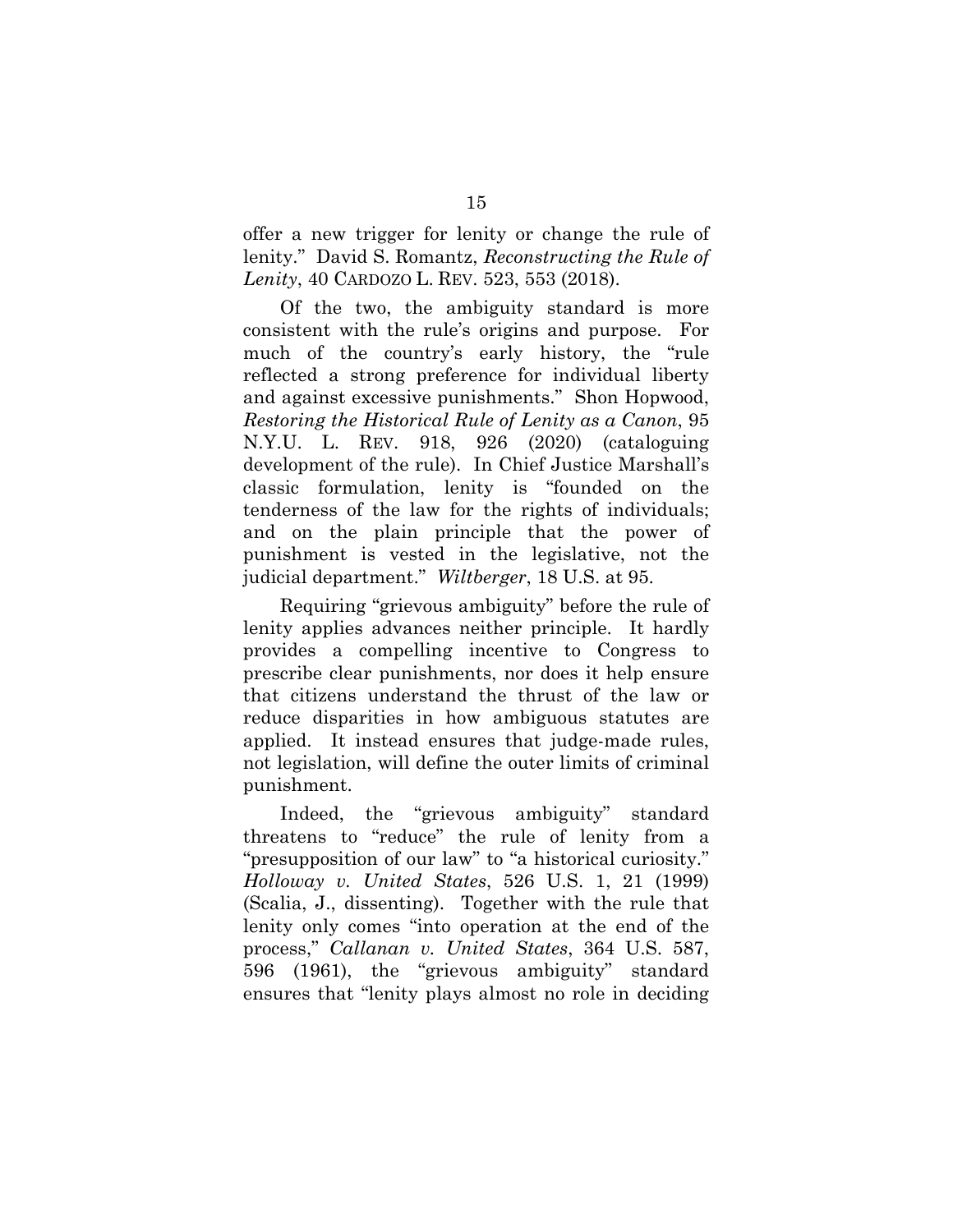offer a new trigger for lenity or change the rule of lenity." David S. Romantz, *Reconstructing the Rule of Lenity*, 40 CARDOZO L. REV. 523, 553 (2018).

Of the two, the ambiguity standard is more consistent with the rule's origins and purpose. For much of the country's early history, the "rule reflected a strong preference for individual liberty and against excessive punishments." Shon Hopwood, *Restoring the Historical Rule of Lenity as a Canon*, 95 N.Y.U. L. REV. 918, 926 (2020) (cataloguing development of the rule). In Chief Justice Marshall's classic formulation, lenity is "founded on the tenderness of the law for the rights of individuals; and on the plain principle that the power of punishment is vested in the legislative, not the judicial department." *Wiltberger*, 18 U.S. at 95.

Requiring "grievous ambiguity" before the rule of lenity applies advances neither principle. It hardly provides a compelling incentive to Congress to prescribe clear punishments, nor does it help ensure that citizens understand the thrust of the law or reduce disparities in how ambiguous statutes are applied. It instead ensures that judge-made rules, not legislation, will define the outer limits of criminal punishment.

Indeed, the "grievous ambiguity" standard threatens to "reduce" the rule of lenity from a "presupposition of our law" to "a historical curiosity." *Holloway v. United States*, 526 U.S. 1, 21 (1999) (Scalia, J., dissenting). Together with the rule that lenity only comes "into operation at the end of the process," *Callanan v. United States*, 364 U.S. 587, 596 (1961), the "grievous ambiguity" standard ensures that "lenity plays almost no role in deciding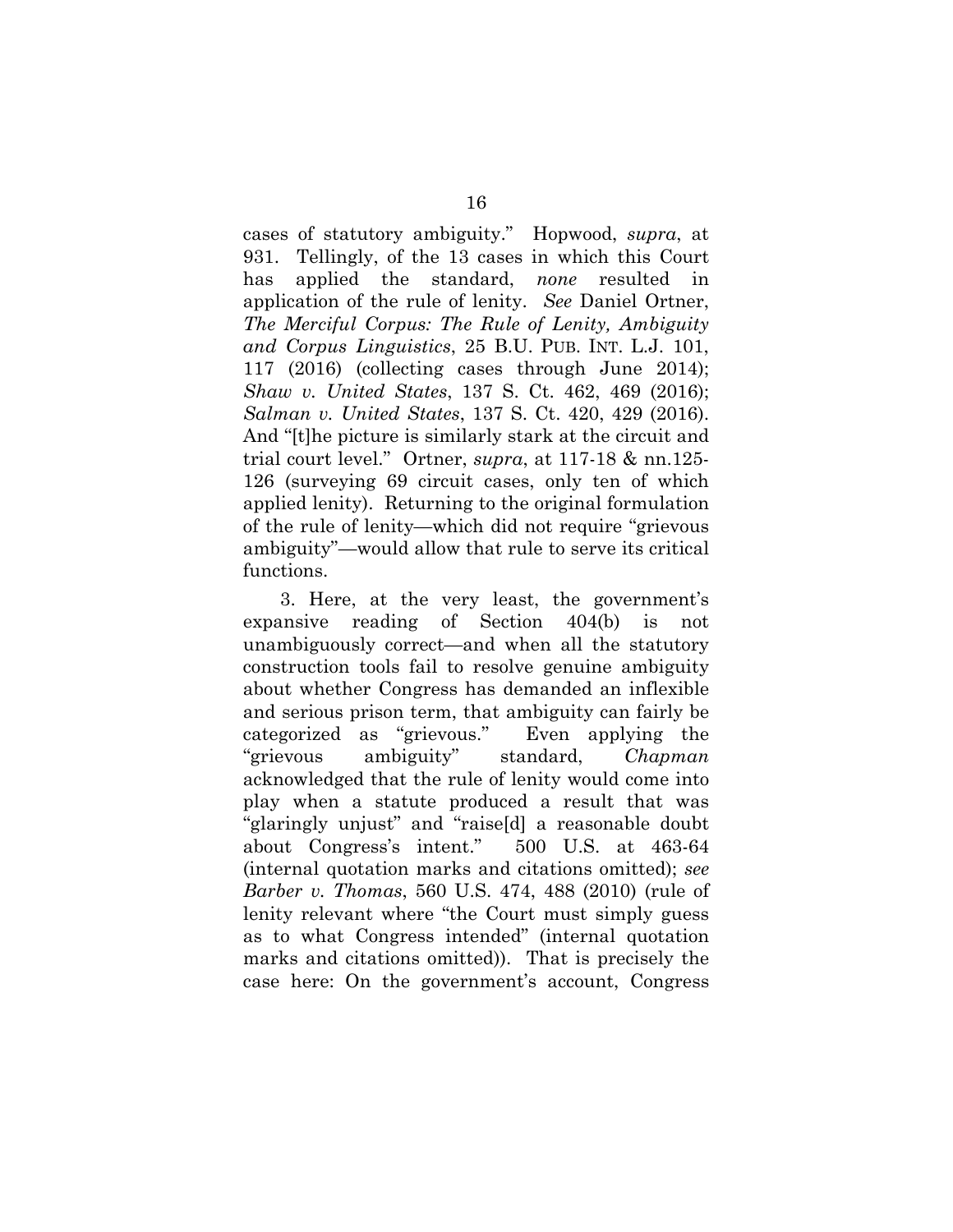cases of statutory ambiguity." Hopwood, *supra*, at 931. Tellingly, of the 13 cases in which this Court has applied the standard, *none* resulted in application of the rule of lenity. *See* Daniel Ortner, *The Merciful Corpus: The Rule of Lenity, Ambiguity and Corpus Linguistics*, 25 B.U. PUB. INT. L.J. 101, 117 (2016) (collecting cases through June 2014); *Shaw v. United States*, 137 S. Ct. 462, 469 (2016); *Salman v. United States*, 137 S. Ct. 420, 429 (2016). And "[t]he picture is similarly stark at the circuit and trial court level." Ortner, *supra*, at 117-18 & nn.125- 126 (surveying 69 circuit cases, only ten of which applied lenity). Returning to the original formulation of the rule of lenity—which did not require "grievous ambiguity"—would allow that rule to serve its critical functions.

3. Here, at the very least, the government's expansive reading of Section 404(b) is not unambiguously correct—and when all the statutory construction tools fail to resolve genuine ambiguity about whether Congress has demanded an inflexible and serious prison term, that ambiguity can fairly be categorized as "grievous." Even applying the "grievous ambiguity" standard, *Chapman*  acknowledged that the rule of lenity would come into play when a statute produced a result that was "glaringly unjust" and "raise[d] a reasonable doubt about Congress's intent." 500 U.S. at 463-64 (internal quotation marks and citations omitted); *see Barber v. Thomas*, 560 U.S. 474, 488 (2010) (rule of lenity relevant where "the Court must simply guess as to what Congress intended" (internal quotation marks and citations omitted)).That is precisely the case here: On the government's account, Congress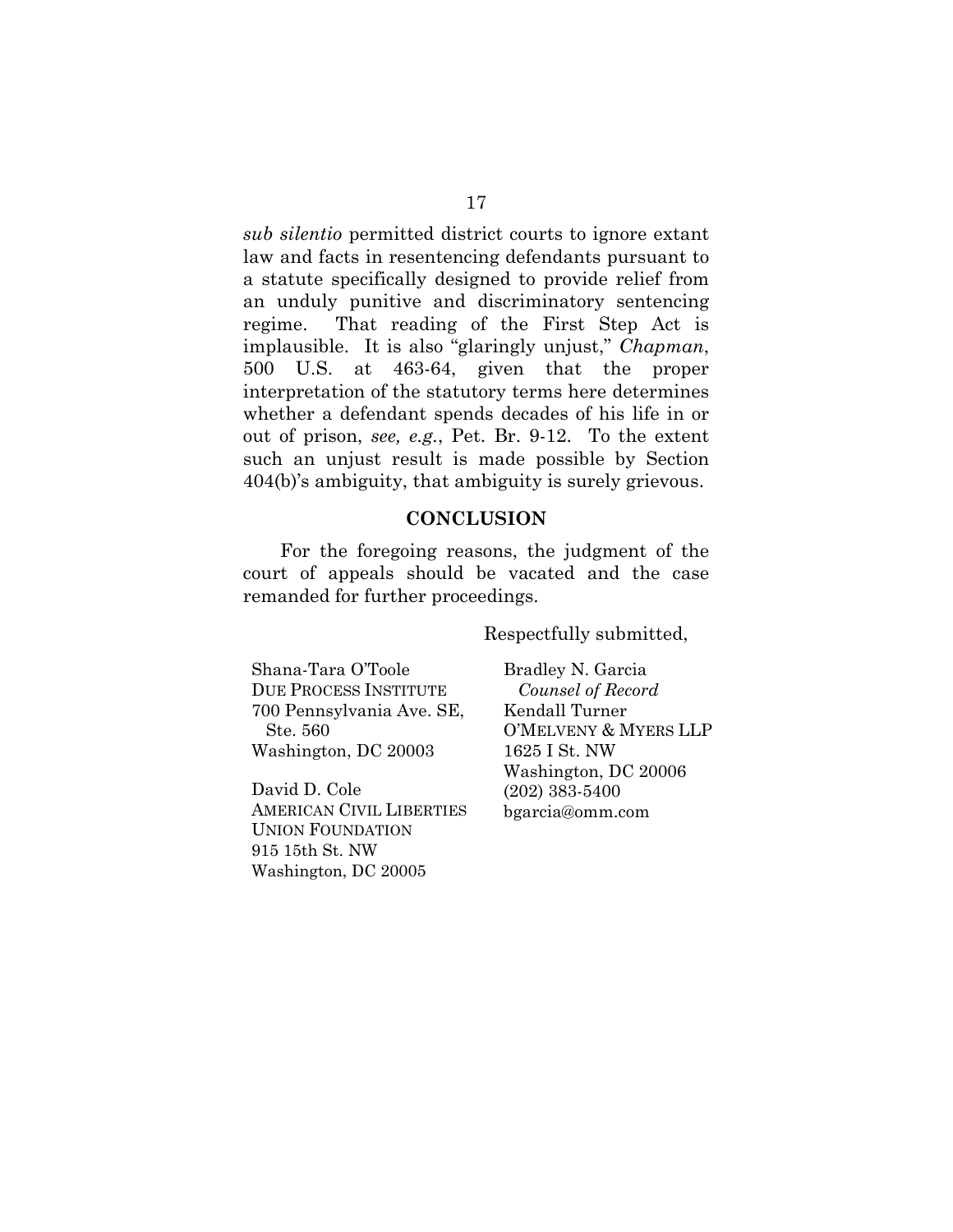*sub silentio* permitted district courts to ignore extant law and facts in resentencing defendants pursuant to a statute specifically designed to provide relief from an unduly punitive and discriminatory sentencing regime. That reading of the First Step Act is implausible. It is also "glaringly unjust," *Chapman*, 500 U.S. at 463-64, given that the proper interpretation of the statutory terms here determines whether a defendant spends decades of his life in or out of prison, *see, e.g.*, Pet. Br. 9-12. To the extent such an unjust result is made possible by Section 404(b)'s ambiguity, that ambiguity is surely grievous.

### **CONCLUSION**

For the foregoing reasons, the judgment of the court of appeals should be vacated and the case remanded for further proceedings.

Respectfully submitted,

Shana-Tara O'Toole DUE PROCESS INSTITUTE 700 Pennsylvania Ave. SE, Ste. 560 Washington, DC 20003

David D. Cole AMERICAN CIVIL LIBERTIES UNION FOUNDATION 915 15th St. NW Washington, DC 20005

Bradley N. Garcia *Counsel of Record*  Kendall Turner O'MELVENY & MYERS LLP 1625 I St. NW Washington, DC 20006 (202) 383-5400 bgarcia@omm.com